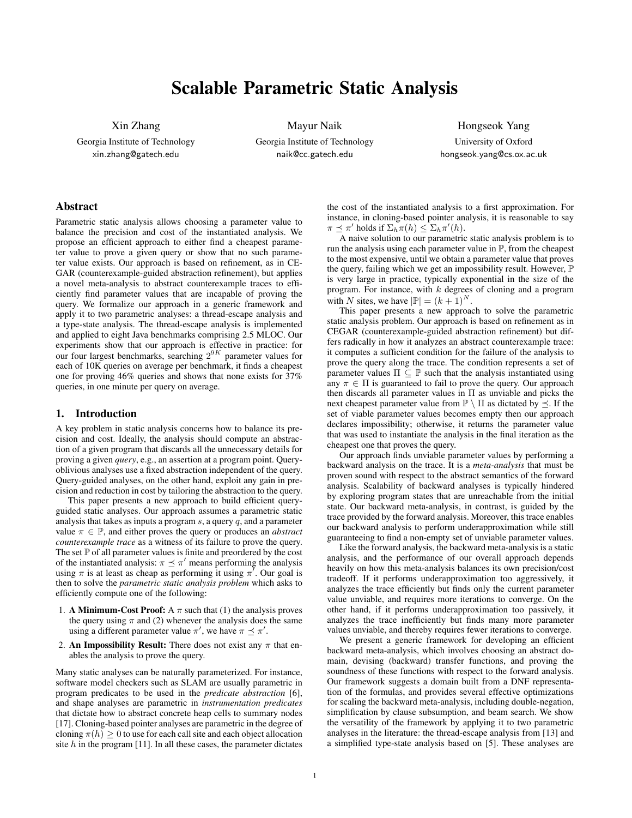# Scalable Parametric Static Analysis

Xin Zhang Georgia Institute of Technology xin.zhang@gatech.edu

Mayur Naik Georgia Institute of Technology naik@cc.gatech.edu

Hongseok Yang University of Oxford hongseok.yang@cs.ox.ac.uk

# Abstract

Parametric static analysis allows choosing a parameter value to balance the precision and cost of the instantiated analysis. We propose an efficient approach to either find a cheapest parameter value to prove a given query or show that no such parameter value exists. Our approach is based on refinement, as in CE-GAR (counterexample-guided abstraction refinement), but applies a novel meta-analysis to abstract counterexample traces to efficiently find parameter values that are incapable of proving the query. We formalize our approach in a generic framework and apply it to two parametric analyses: a thread-escape analysis and a type-state analysis. The thread-escape analysis is implemented and applied to eight Java benchmarks comprising 2.5 MLOC. Our experiments show that our approach is effective in practice: for our four largest benchmarks, searching  $2^{9K}$  parameter values for each of 10K queries on average per benchmark, it finds a cheapest one for proving 46% queries and shows that none exists for 37% queries, in one minute per query on average.

## 1. Introduction

A key problem in static analysis concerns how to balance its precision and cost. Ideally, the analysis should compute an abstraction of a given program that discards all the unnecessary details for proving a given *query*, e.g., an assertion at a program point. Queryoblivious analyses use a fixed abstraction independent of the query. Query-guided analyses, on the other hand, exploit any gain in precision and reduction in cost by tailoring the abstraction to the query.

This paper presents a new approach to build efficient queryguided static analyses. Our approach assumes a parametric static analysis that takes as inputs a program  $s$ , a query  $q$ , and a parameter value  $\pi \in \mathbb{P}$ , and either proves the query or produces an *abstract counterexample trace* as a witness of its failure to prove the query. The set  $P$  of all parameter values is finite and preordered by the cost of the instantiated analysis:  $\pi \preceq \pi'$  means performing the analysis using  $\pi$  is at least as cheap as performing it using  $\pi^7$ . Our goal is then to solve the *parametric static analysis problem* which asks to efficiently compute one of the following:

- 1. A Minimum-Cost Proof: A  $\pi$  such that (1) the analysis proves the query using  $\pi$  and (2) whenever the analysis does the same using a different parameter value  $\pi'$ , we have  $\pi \preceq \pi'$ .
- 2. An Impossibility Result: There does not exist any  $\pi$  that enables the analysis to prove the query.

Many static analyses can be naturally parameterized. For instance, software model checkers such as SLAM are usually parametric in program predicates to be used in the *predicate abstraction* [6], and shape analyses are parametric in *instrumentation predicates* that dictate how to abstract concrete heap cells to summary nodes [17]. Cloning-based pointer analyses are parametric in the degree of cloning  $\pi(h) \geq 0$  to use for each call site and each object allocation site  $h$  in the program [11]. In all these cases, the parameter dictates the cost of the instantiated analysis to a first approximation. For instance, in cloning-based pointer analysis, it is reasonable to say  $\pi \preceq \pi'$  holds if  $\Sigma_h \pi(h) \leq \Sigma_h \pi'(h)$ .

A naive solution to our parametric static analysis problem is to run the analysis using each parameter value in P, from the cheapest to the most expensive, until we obtain a parameter value that proves the query, failing which we get an impossibility result. However,  $\mathbb P$ is very large in practice, typically exponential in the size of the program. For instance, with  $k$  degrees of cloning and a program with N sites, we have  $|\mathbb{P}| = (k+1)^N$ .

This paper presents a new approach to solve the parametric static analysis problem. Our approach is based on refinement as in CEGAR (counterexample-guided abstraction refinement) but differs radically in how it analyzes an abstract counterexample trace: it computes a sufficient condition for the failure of the analysis to prove the query along the trace. The condition represents a set of parameter values  $\Pi \subseteq \mathbb{P}$  such that the analysis instantiated using any  $\pi \in \Pi$  is guaranteed to fail to prove the query. Our approach then discards all parameter values in  $\Pi$  as unviable and picks the next cheapest parameter value from  $\mathbb{P} \setminus \Pi$  as dictated by  $\preceq$ . If the set of viable parameter values becomes empty then our approach declares impossibility; otherwise, it returns the parameter value that was used to instantiate the analysis in the final iteration as the cheapest one that proves the query.

Our approach finds unviable parameter values by performing a backward analysis on the trace. It is a *meta-analysis* that must be proven sound with respect to the abstract semantics of the forward analysis. Scalability of backward analyses is typically hindered by exploring program states that are unreachable from the initial state. Our backward meta-analysis, in contrast, is guided by the trace provided by the forward analysis. Moreover, this trace enables our backward analysis to perform underapproximation while still guaranteeing to find a non-empty set of unviable parameter values.

Like the forward analysis, the backward meta-analysis is a static analysis, and the performance of our overall approach depends heavily on how this meta-analysis balances its own precision/cost tradeoff. If it performs underapproximation too aggressively, it analyzes the trace efficiently but finds only the current parameter value unviable, and requires more iterations to converge. On the other hand, if it performs underapproximation too passively, it analyzes the trace inefficiently but finds many more parameter values unviable, and thereby requires fewer iterations to converge.

We present a generic framework for developing an efficient backward meta-analysis, which involves choosing an abstract domain, devising (backward) transfer functions, and proving the soundness of these functions with respect to the forward analysis. Our framework suggests a domain built from a DNF representation of the formulas, and provides several effective optimizations for scaling the backward meta-analysis, including double-negation, simplification by clause subsumption, and beam search. We show the versatility of the framework by applying it to two parametric analyses in the literature: the thread-escape analysis from [13] and a simplified type-state analysis based on [5]. These analyses are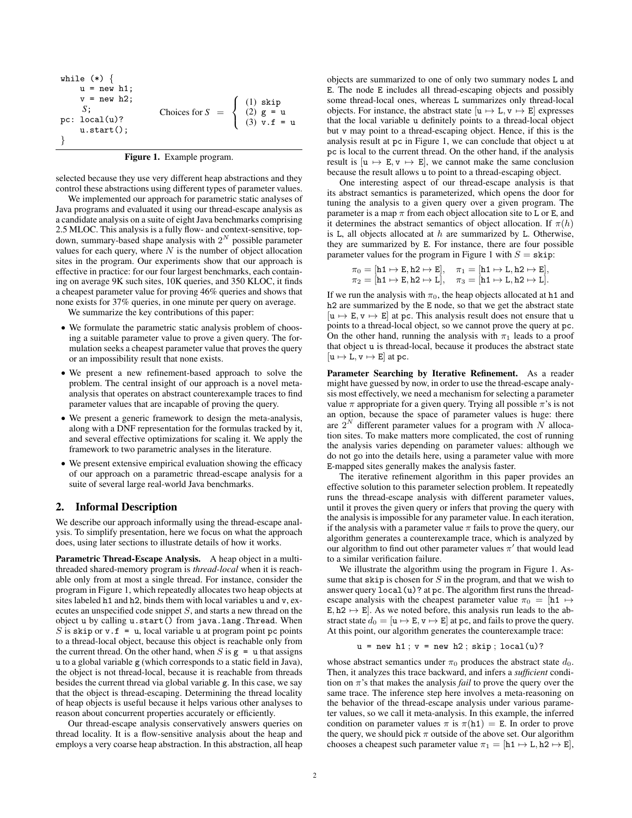| while $(*)$ {   |                                                                                                                           |  |
|-----------------|---------------------------------------------------------------------------------------------------------------------------|--|
| $u = new h1$ ;  |                                                                                                                           |  |
| $v = new h2$ ;  |                                                                                                                           |  |
| S:              | Choices for $S = \begin{cases} (1) \text{ skip} \\ (2) \text{ g} = \text{ u} \\ (3) \text{ v.f.} = \text{ u} \end{cases}$ |  |
| pc: $local(u)?$ |                                                                                                                           |  |
| $u.start()$ ;   |                                                                                                                           |  |
|                 |                                                                                                                           |  |

selected because they use very different heap abstractions and they control these abstractions using different types of parameter values.

We implemented our approach for parametric static analyses of Java programs and evaluated it using our thread-escape analysis as a candidate analysis on a suite of eight Java benchmarks comprising 2.5 MLOC. This analysis is a fully flow- and context-sensitive, topdown, summary-based shape analysis with  $2^N$  possible parameter values for each query, where  $N$  is the number of object allocation sites in the program. Our experiments show that our approach is effective in practice: for our four largest benchmarks, each containing on average 9K such sites, 10K queries, and 350 KLOC, it finds a cheapest parameter value for proving 46% queries and shows that none exists for 37% queries, in one minute per query on average.

We summarize the key contributions of this paper:

- We formulate the parametric static analysis problem of choosing a suitable parameter value to prove a given query. The formulation seeks a cheapest parameter value that proves the query or an impossibility result that none exists.
- We present a new refinement-based approach to solve the problem. The central insight of our approach is a novel metaanalysis that operates on abstract counterexample traces to find parameter values that are incapable of proving the query.
- We present a generic framework to design the meta-analysis, along with a DNF representation for the formulas tracked by it, and several effective optimizations for scaling it. We apply the framework to two parametric analyses in the literature.
- We present extensive empirical evaluation showing the efficacy of our approach on a parametric thread-escape analysis for a suite of several large real-world Java benchmarks.

## 2. Informal Description

We describe our approach informally using the thread-escape analysis. To simplify presentation, here we focus on what the approach does, using later sections to illustrate details of how it works.

Parametric Thread-Escape Analysis. A heap object in a multithreaded shared-memory program is *thread-local* when it is reachable only from at most a single thread. For instance, consider the program in Figure 1, which repeatedly allocates two heap objects at sites labeled h1 and h2, binds them with local variables u and v, executes an unspecified code snippet S, and starts a new thread on the object u by calling u.start() from java.lang.Thread. When S is skip or  $v \cdot f = u$ , local variable u at program point pc points to a thread-local object, because this object is reachable only from the current thread. On the other hand, when S is  $g = u$  that assigns u to a global variable g (which corresponds to a static field in Java), the object is not thread-local, because it is reachable from threads besides the current thread via global variable g. In this case, we say that the object is thread-escaping. Determining the thread locality of heap objects is useful because it helps various other analyses to reason about concurrent properties accurately or efficiently.

Our thread-escape analysis conservatively answers queries on thread locality. It is a flow-sensitive analysis about the heap and employs a very coarse heap abstraction. In this abstraction, all heap objects are summarized to one of only two summary nodes L and E. The node E includes all thread-escaping objects and possibly some thread-local ones, whereas L summarizes only thread-local objects. For instance, the abstract state  $[u \mapsto L, v \mapsto E]$  expresses that the local variable u definitely points to a thread-local object but v may point to a thread-escaping object. Hence, if this is the analysis result at pc in Figure 1, we can conclude that object u at pc is local to the current thread. On the other hand, if the analysis result is  $[u \mapsto E, v \mapsto E]$ , we cannot make the same conclusion because the result allows u to point to a thread-escaping object.

One interesting aspect of our thread-escape analysis is that its abstract semantics is parameterized, which opens the door for tuning the analysis to a given query over a given program. The parameter is a map  $\pi$  from each object allocation site to L or E, and it determines the abstract semantics of object allocation. If  $\pi(h)$ is L, all objects allocated at  $h$  are summarized by L. Otherwise, they are summarized by E. For instance, there are four possible parameter values for the program in Figure 1 with  $S = \text{skip}$ :

$$
\begin{array}{ll}\pi_0=[\texttt{h1}\mapsto \texttt{E},\texttt{h2}\mapsto \texttt{E}], & \pi_1=[\texttt{h1}\mapsto \texttt{L},\texttt{h2}\mapsto \texttt{E}],\\ \pi_2=[\texttt{h1}\mapsto \texttt{E},\texttt{h2}\mapsto \texttt{L}], & \pi_3=[\texttt{h1}\mapsto \texttt{L},\texttt{h2}\mapsto \texttt{L}].\end{array}
$$

If we run the analysis with  $\pi_0$ , the heap objects allocated at h1 and h<sub>2</sub> are summarized by the E node, so that we get the abstract state  $[u \mapsto E, v \mapsto E]$  at pc. This analysis result does not ensure that u points to a thread-local object, so we cannot prove the query at pc. On the other hand, running the analysis with  $\pi_1$  leads to a proof that object u is thread-local, because it produces the abstract state  $[u \mapsto L, v \mapsto E]$  at pc.

Parameter Searching by Iterative Refinement. As a reader might have guessed by now, in order to use the thread-escape analysis most effectively, we need a mechanism for selecting a parameter value  $\pi$  appropriate for a given query. Trying all possible  $\pi$ 's is not an option, because the space of parameter values is huge: there are  $2^N$  different parameter values for a program with N allocation sites. To make matters more complicated, the cost of running the analysis varies depending on parameter values: although we do not go into the details here, using a parameter value with more E-mapped sites generally makes the analysis faster.

The iterative refinement algorithm in this paper provides an effective solution to this parameter selection problem. It repeatedly runs the thread-escape analysis with different parameter values, until it proves the given query or infers that proving the query with the analysis is impossible for any parameter value. In each iteration, if the analysis with a parameter value  $\pi$  fails to prove the query, our algorithm generates a counterexample trace, which is analyzed by our algorithm to find out other parameter values  $\pi'$  that would lead to a similar verification failure.

We illustrate the algorithm using the program in Figure 1. Assume that skip is chosen for  $S$  in the program, and that we wish to answer query local(u)? at pc. The algorithm first runs the threadescape analysis with the cheapest parameter value  $\pi_0 = [h1 \mapsto$ E,  $h2 \leftrightarrow E$ . As we noted before, this analysis run leads to the abstract state  $d_0 = [\mathbf{u} \mapsto \mathbf{E}, \mathbf{v} \mapsto \mathbf{E}]$  at pc, and fails to prove the query. At this point, our algorithm generates the counterexample trace:

 $u = new h1$ ;  $v = new h2$ ; skip; local(u)?

whose abstract semantics under  $\pi_0$  produces the abstract state  $d_0$ . Then, it analyzes this trace backward, and infers a *sufficient* condition on  $\pi$ 's that makes the analysis *fail* to prove the query over the same trace. The inference step here involves a meta-reasoning on the behavior of the thread-escape analysis under various parameter values, so we call it meta-analysis. In this example, the inferred condition on parameter values  $\pi$  is  $\pi$ (h1) = E. In order to prove the query, we should pick  $\pi$  outside of the above set. Our algorithm chooses a cheapest such parameter value  $\pi_1 = [\text{h1} \mapsto \text{L}, \text{h2} \mapsto \text{E}]$ ,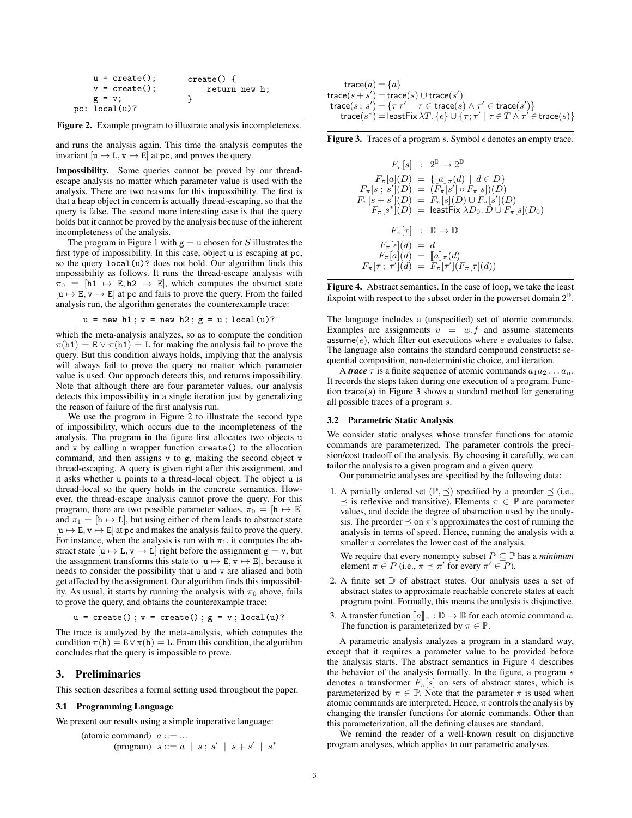| $u = \text{create}()$ ; | $create() \{$ |
|-------------------------|---------------|
| $v = \text{create}()$ ; | return new h; |
| $g = v$ ;               |               |
| pc: local(u)?           |               |

Figure 2. Example program to illustrate analysis incompleteness.

and runs the analysis again. This time the analysis computes the invariant  $[u \mapsto L, v \mapsto E]$  at pc, and proves the query.

Impossibility. Some queries cannot be proved by our threadescape analysis no matter which parameter value is used with the analysis. There are two reasons for this impossibility. The first is that a heap object in concern is actually thread-escaping, so that the query is false. The second more interesting case is that the query holds but it cannot be proved by the analysis because of the inherent incompleteness of the analysis.

The program in Figure 1 with  $g = u$  chosen for S illustrates the first type of impossibility. In this case, object u is escaping at pc, so the query  $local(u)$ ? does not hold. Our algorithm finds this impossibility as follows. It runs the thread-escape analysis with  $\pi_0 = [\text{h1} \rightarrow \text{E}, \text{h2} \rightarrow \text{E}]$ , which computes the abstract state  $[u \mapsto E, v \mapsto E]$  at pc and fails to prove the query. From the failed analysis run, the algorithm generates the counterexample trace:

```
u = new h1; v = new h2; g = u; local(u)?
```
which the meta-analysis analyzes, so as to compute the condition  $\pi(h1) = E \vee \pi(h1) = L$  for making the analysis fail to prove the query. But this condition always holds, implying that the analysis will always fail to prove the query no matter which parameter value is used. Our approach detects this, and returns impossibility. Note that although there are four parameter values, our analysis detects this impossibility in a single iteration just by generalizing the reason of failure of the first analysis run.

We use the program in Figure 2 to illustrate the second type of impossibility, which occurs due to the incompleteness of the analysis. The program in the figure first allocates two objects u and v by calling a wrapper function create() to the allocation command, and then assigns v to g, making the second object v thread-escaping. A query is given right after this assignment, and it asks whether u points to a thread-local object. The object u is thread-local so the query holds in the concrete semantics. However, the thread-escape analysis cannot prove the query. For this program, there are two possible parameter values,  $\pi_0 = [\mathbf{h} \mapsto \mathbf{E}]$ and  $\pi_1 = [h \mapsto L]$ , but using either of them leads to abstract state  $[u \mapsto E, v \mapsto E]$  at pc and makes the analysis fail to prove the query. For instance, when the analysis is run with  $\pi_1$ , it computes the abstract state  $[u \mapsto L, v \mapsto L]$  right before the assignment  $g = v$ , but the assignment transforms this state to  $[u \mapsto E, v \mapsto E]$ , because it needs to consider the possibility that u and v are aliased and both get affected by the assignment. Our algorithm finds this impossibility. As usual, it starts by running the analysis with  $\pi_0$  above, fails to prove the query, and obtains the counterexample trace:

 $u = \text{create}()$ ;  $v = \text{create}()$ ;  $g = v$ ; local(u)?

The trace is analyzed by the meta-analysis, which computes the condition  $\pi(h) = E \vee \pi(h) = L$ . From this condition, the algorithm concludes that the query is impossible to prove.

# 3. Preliminaries

This section describes a formal setting used throughout the paper.

#### 3.1 Programming Language

We present our results using a simple imperative language:

$$
\begin{array}{lll}\n\text{(atomic command)} & a ::= \dots \\
\text{(program)} & s ::= a \mid s \text{ ; } s' \mid s + s' \mid s^*\n\end{array}
$$

$$
\begin{array}{l}\n\text{trace}(a) = \{a\} \\
\text{trace}(s + s') = \text{trace}(s) \cup \text{trace}(s') \\
\text{trace}(s; s') = \{\tau \tau' \mid \tau \in \text{trace}(s) \land \tau' \in \text{trace}(s')\} \\
\text{trace}(s^*) = \text{leastFix} \lambda T. \{\epsilon\} \cup \{\tau; \tau' \mid \tau \in T \land \tau' \in \text{trace}(s)\}\n\end{array}
$$

**Figure 3.** Traces of a program s. Symbol  $\epsilon$  denotes an empty trace.

$$
F_{\pi}[s] : 2^{\mathbb{D}} \to 2^{\mathbb{D}}
$$
  
\n
$$
F_{\pi}[a](D) = \{ [a]_{\pi}(d) \mid d \in D \}
$$
  
\n
$$
F_{\pi}[s; s'](D) = (F_{\pi}[s'] \circ F_{\pi}[s])(D)
$$
  
\n
$$
F_{\pi}[s+s'](D) = F_{\pi}[s](D) \cup F_{\pi}[s'](D)
$$
  
\n
$$
F_{\pi}[s^*](D) = \text{leastFix } \lambda D_0. D \cup F_{\pi}[s](D_0)
$$
  
\n
$$
F_{\pi}[\tau] : \mathbb{D} \to \mathbb{D}
$$
  
\n
$$
F_{\pi}[e](d) = d
$$
  
\n
$$
F_{\pi}[a](d) = [a]_{\pi}(d)
$$
  
\n
$$
F_{\pi}[\tau; \tau'](d) = F_{\pi}[\tau'](F_{\pi}[\tau](d))
$$

Figure 4. Abstract semantics. In the case of loop, we take the least fix point with respect to the subset order in the powerset domain  $2^D$ .

The language includes a (unspecified) set of atomic commands. Examples are assignments  $v = w.f$  and assume statements assume $(e)$ , which filter out executions where e evaluates to false. The language also contains the standard compound constructs: sequential composition, non-deterministic choice, and iteration.

A *trace*  $\tau$  is a finite sequence of atomic commands  $a_1 a_2 \ldots a_n$ . It records the steps taken during one execution of a program. Function trace( $s$ ) in Figure 3 shows a standard method for generating all possible traces of a program s.

## 3.2 Parametric Static Analysis

We consider static analyses whose transfer functions for atomic commands are parameterized. The parameter controls the precision/cost tradeoff of the analysis. By choosing it carefully, we can tailor the analysis to a given program and a given query.

Our parametric analyses are specified by the following data:

1. A partially ordered set  $(\mathbb{P}, \preceq)$  specified by a preorder  $\preceq$  (i.e.,  $\prec$  is reflexive and transitive). Elements  $\pi \in \mathbb{P}$  are parameter values, and decide the degree of abstraction used by the analysis. The preorder  $\preceq$  on  $\pi$ 's approximates the cost of running the analysis in terms of speed. Hence, running the analysis with a smaller  $\pi$  correlates the lower cost of the analysis.

We require that every nonempty subset  $P \subseteq \mathbb{P}$  has a *minimum* element  $\pi \in P$  (i.e.,  $\pi \preceq \pi'$  for every  $\pi' \in P$ ).

- 2. A finite set  $\mathbb D$  of abstract states. Our analysis uses a set of abstract states to approximate reachable concrete states at each program point. Formally, this means the analysis is disjunctive.
- 3. A transfer function  $\llbracket a \rrbracket_{\pi} : \mathbb{D} \to \mathbb{D}$  for each atomic command a. The function is parameterized by  $\pi \in \mathbb{P}$ .

A parametric analysis analyzes a program in a standard way, except that it requires a parameter value to be provided before the analysis starts. The abstract semantics in Figure 4 describes the behavior of the analysis formally. In the figure, a program s denotes a transformer  $F_{\pi}[s]$  on sets of abstract states, which is parameterized by  $\pi \in \mathbb{P}$ . Note that the parameter  $\pi$  is used when atomic commands are interpreted. Hence,  $\pi$  controls the analysis by changing the transfer functions for atomic commands. Other than this parameterization, all the defining clauses are standard.

We remind the reader of a well-known result on disjunctive program analyses, which applies to our parametric analyses.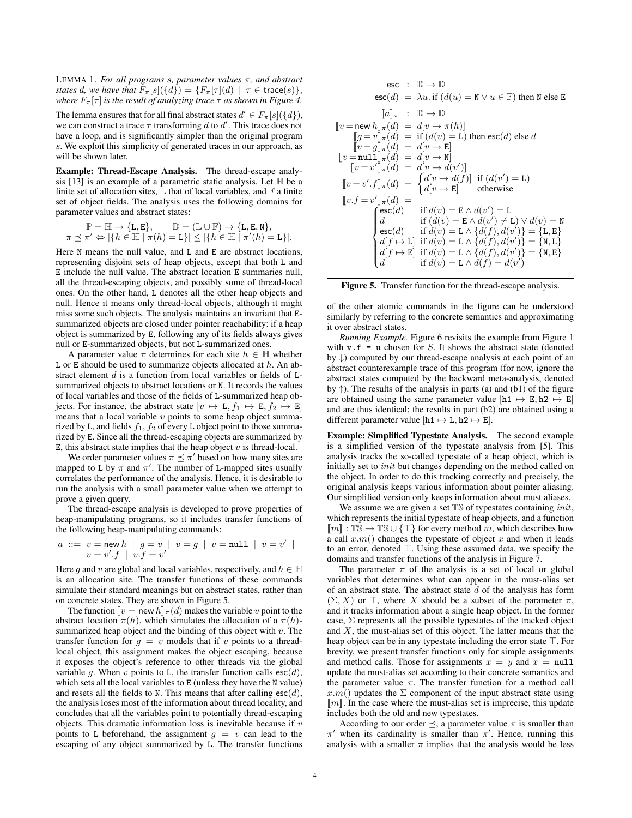LEMMA 1. *For all programs* s*, parameter values* π*, and abstract states* d, we have that  $F_{\pi}[s](\{d\}) = \{F_{\pi}[\tau](d) \mid \tau \in \text{trace}(s)\},$ *where*  $F_{\pi}[\tau]$  *is the result of analyzing trace*  $\tau$  *as shown in Figure 4.* 

The lemma ensures that for all final abstract states  $d' \in F_{\pi}[s](\{d\}),$ we can construct a trace  $\tau$  transforming d to d'. This trace does not have a loop, and is significantly simpler than the original program s. We exploit this simplicity of generated traces in our approach, as will be shown later.

Example: Thread-Escape Analysis. The thread-escape analysis [13] is an example of a parametric static analysis. Let  $\mathbb H$  be a finite set of allocation sites,  $\mathbb L$  that of local variables, and  $\mathbb F$  a finite set of object fields. The analysis uses the following domains for parameter values and abstract states:

$$
\mathbb{P} = \mathbb{H} \to \{\mathbf{L}, \mathbf{E}\}, \qquad \mathbb{D} = (\mathbb{L} \cup \mathbb{F}) \to \{\mathbf{L}, \mathbf{E}, \mathbf{N}\},
$$

$$
\pi \preceq \pi' \Leftrightarrow |\{h \in \mathbb{H} \mid \pi(h) = \mathbf{L}\}| \le |\{h \in \mathbb{H} \mid \pi'(h) = \mathbf{L}\}|.
$$

Here N means the null value, and L and E are abstract locations, representing disjoint sets of heap objects, except that both L and E include the null value. The abstract location E summaries null, all the thread-escaping objects, and possibly some of thread-local ones. On the other hand, L denotes all the other heap objects and null. Hence it means only thread-local objects, although it might miss some such objects. The analysis maintains an invariant that Esummarized objects are closed under pointer reachability: if a heap object is summarized by E, following any of its fields always gives null or E-summarized objects, but not L-summarized ones.

A parameter value  $\pi$  determines for each site  $h \in \mathbb{H}$  whether L or E should be used to summarize objects allocated at  $h$ . An abstract element  $d$  is a function from local variables or fields of  $L$ summarized objects to abstract locations or N. It records the values of local variables and those of the fields of L-summarized heap objects. For instance, the abstract state  $[v \mapsto L, f_1 \mapsto E, f_2 \mapsto E]$ means that a local variable  $v$  points to some heap object summarized by L, and fields  $f_1, f_2$  of every L object point to those summarized by E. Since all the thread-escaping objects are summarized by E, this abstract state implies that the heap object  $v$  is thread-local.

We order parameter values  $\pi \preceq \pi'$  based on how many sites are mapped to L by  $\pi$  and  $\pi'$ . The number of L-mapped sites usually correlates the performance of the analysis. Hence, it is desirable to run the analysis with a small parameter value when we attempt to prove a given query.

The thread-escape analysis is developed to prove properties of heap-manipulating programs, so it includes transfer functions of the following heap-manipulating commands:

$$
a ::= v = \text{new } h \mid g = v \mid v = g \mid v = \text{null} \mid v = v' \mid v = v'.f \mid v.f = v'
$$

Here q and v are global and local variables, respectively, and  $h \in \mathbb{H}$ is an allocation site. The transfer functions of these commands simulate their standard meanings but on abstract states, rather than on concrete states. They are shown in Figure 5.

The function  $\llbracket v =$  new  $h \rrbracket_{\pi}(d)$  makes the variable v point to the abstract location  $\pi(h)$ , which simulates the allocation of a  $\pi(h)$ summarized heap object and the binding of this object with  $v$ . The transfer function for  $q = v$  models that if v points to a threadlocal object, this assignment makes the object escaping, because it exposes the object's reference to other threads via the global variable q. When v points to L, the transfer function calls  $\mathsf{esc}(d)$ , which sets all the local variables to E (unless they have the N value) and resets all the fields to N. This means that after calling  $\mathsf{esc}(d)$ , the analysis loses most of the information about thread locality, and concludes that all the variables point to potentially thread-escaping objects. This dramatic information loss is inevitable because if  $v$ points to L beforehand, the assignment  $g = v$  can lead to the escaping of any object summarized by L. The transfer functions

$$
\text{esc} : \mathbb{D} \to \mathbb{D}
$$
\n
$$
\text{esc}(d) = \lambda u. \text{ if } (d(u) = \mathbf{N} \lor u \in \mathbb{F}) \text{ then } \mathbf{N} \text{ else } \mathbf{E}
$$
\n
$$
\llbracket u \rrbracket_{\pi} : \mathbb{D} \to \mathbb{D}
$$
\n
$$
\llbracket v = \text{new } h \rrbracket_{\pi}(d) = d[v \mapsto \pi(h)]
$$
\n
$$
\llbracket g = v \rrbracket_{\pi}(d) = \text{ if } (d(v) = \mathbf{L}) \text{ then } \text{esc}(d) \text{ else } d
$$
\n
$$
\llbracket v = g \rrbracket_{\pi}(d) = d[v \mapsto \mathbf{E}]
$$
\n
$$
\llbracket v = \text{null} \rrbracket_{\pi}(d) = d[v \mapsto \mathbf{N}]
$$
\n
$$
\llbracket v = v' \rrbracket_{\pi}(d) = d[v \mapsto d(v')]
$$
\n
$$
\llbracket v = v'.f \rrbracket_{\pi}(d) = \begin{cases} d[v \mapsto d(f)] & \text{if } (d(v') = \mathbf{L}) \\ d[v \mapsto \mathbf{E}] & \text{otherwise} \end{cases}
$$
\n
$$
\llbracket v.f = v' \rrbracket_{\pi}(d) = \begin{cases} \text{esc}(d) & \text{if } d(v) = \mathbf{E} \land d(v') = \mathbf{L} \\ d & \text{if } (d(v) = \mathbf{E} \land d(v') \neq \mathbf{L}) \lor d(v) = \mathbf{N} \\ \text{esc}(d) & \text{if } d(v) = \mathbf{L} \land \{d(f), d(v')\} = \{\mathbf{I}, \mathbf{E}\} \\ d[f \mapsto \mathbf{L}] & \text{if } d(v) = \mathbf{L} \land \{d(f), d(v')\} = \{\mathbf{N}, \mathbf{E}\} \\ d[f \mapsto \mathbf{E}] & \text{if } d(v) = \mathbf{L} \land d(f) = d(v') \end{cases}
$$

Figure 5. Transfer function for the thread-escape analysis.

of the other atomic commands in the figure can be understood similarly by referring to the concrete semantics and approximating it over abstract states.

*Running Example.* Figure 6 revisits the example from Figure 1 with  $v.f = u$  chosen for S. It shows the abstract state (denoted by ↓) computed by our thread-escape analysis at each point of an abstract counterexample trace of this program (for now, ignore the abstract states computed by the backward meta-analysis, denoted by  $\uparrow$ ). The results of the analysis in parts (a) and (b1) of the figure are obtained using the same parameter value  $[h1 \rightarrow E, h2 \rightarrow E]$ and are thus identical; the results in part (b2) are obtained using a different parameter value  $[h1 \mapsto L, h2 \mapsto E]$ .

Example: Simplified Typestate Analysis. The second example is a simplified version of the typestate analysis from [5]. This analysis tracks the so-called typestate of a heap object, which is initially set to *init* but changes depending on the method called on the object. In order to do this tracking correctly and precisely, the original analysis keeps various information about pointer aliasing. Our simplified version only keeps information about must aliases.

We assume we are given a set  $TS$  of typestates containing *init*, which represents the initial typestate of heap objects, and a function  $\llbracket m \rrbracket : \mathbb{TS} \to \mathbb{TS} \cup \{\top\}$  for every method m, which describes how a call  $x.m()$  changes the typestate of object x and when it leads to an error, denoted  $\top$ . Using these assumed data, we specify the domains and transfer functions of the analysis in Figure 7.

The parameter  $\pi$  of the analysis is a set of local or global variables that determines what can appear in the must-alias set of an abstract state. The abstract state  $\overline{d}$  of the analysis has form  $(\Sigma, X)$  or  $\top$ , where X should be a subset of the parameter  $\pi$ , and it tracks information about a single heap object. In the former case,  $\Sigma$  represents all the possible typestates of the tracked object and  $X$ , the must-alias set of this object. The latter means that the heap object can be in any typestate including the error state  $\top$ . For brevity, we present transfer functions only for simple assignments and method calls. Those for assignments  $x = y$  and  $x = null$ update the must-alias set according to their concrete semantics and the parameter value  $\pi$ . The transfer function for a method call  $x.m()$  updates the  $\Sigma$  component of the input abstract state using  $\llbracket m \rrbracket$ . In the case where the must-alias set is imprecise, this update includes both the old and new typestates.

According to our order  $\preceq$ , a parameter value  $\pi$  is smaller than  $\pi'$  when its cardinality is smaller than  $\pi'$ . Hence, running this analysis with a smaller  $\pi$  implies that the analysis would be less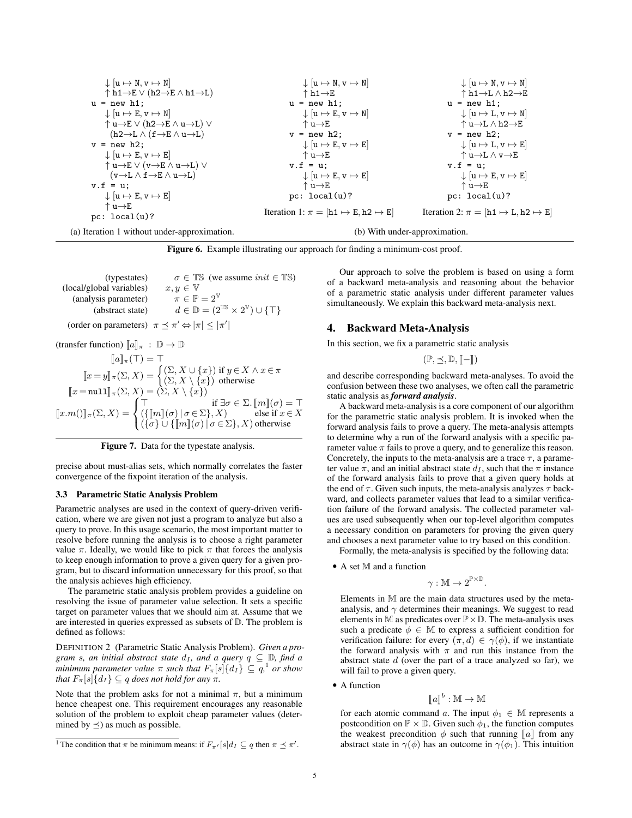$$
\begin{array}{c|c|c|c|c|c|c|c|c} \downarrow [u \mapsto N, v \mapsto N] & & \downarrow [u \mapsto N, v \mapsto N] & & \downarrow [u \mapsto N, v \mapsto N] \\ \uparrow h1 \rightarrow E \vee (h2 \rightarrow E \wedge h1 \rightarrow L) & & \uparrow h1 \rightarrow E & & \uparrow h1 \rightarrow L \\ u = new h1; & & u = new h1; & & u = new h1; & & u = new h1; \\ \downarrow [u \mapsto E, v \mapsto N] & & \uparrow u \rightarrow E & & u = new h1; & & u = new h1; \\ \uparrow u \rightarrow E \vee (h2 \rightarrow E \wedge u \rightarrow L) \vee & & \uparrow u \rightarrow E & & \uparrow u \rightarrow L \wedge h2 \rightarrow E \\ (h2 \rightarrow L \wedge (f \rightarrow E \wedge u \rightarrow L)) & & \uparrow u \rightarrow E & & v = new h2; \\ v = new h2; & & \downarrow [u \mapsto E, v \mapsto E] & & \downarrow [u \mapsto L, v \mapsto E] \\ \uparrow u \rightarrow E \vee (v \rightarrow E \wedge u \rightarrow L) \vee & & v.f = u; & & \downarrow [u \mapsto E, v \mapsto E] \\ v.f = u; & & \downarrow [u \mapsto E, v \mapsto E] & & \downarrow [u \mapsto E, v \mapsto E] \\ v.f = u; & & \downarrow [u \mapsto E, v \mapsto E] & & \downarrow [u \mapsto E, v \mapsto E] \\ v.f = u; & & \downarrow [u \mapsto E, v \mapsto E] & & \downarrow [u \mapsto E, v \mapsto E] \\ v.f = u; & & \uparrow u \rightarrow E & & \uparrow u \rightarrow E \\ \downarrow [u \mapsto E, v \mapsto E] & & \downarrow [u \mapsto E, v \mapsto E] \\ \uparrow u \rightarrow E & & \uparrow u \rightarrow E & & \uparrow u \rightarrow E \\ pc: \text{ local}(u)? & & & & & \text{Iteration 1: } \pi = [h1 \mapsto E, h2 \mapsto E] & & & & \text{Iteration 2: } \pi = [h1 \mapsto L, h2 \mapsto E] \end{array}
$$

Figure 6. Example illustrating our approach for finding a minimum-cost proof.

(typestates)  $\sigma \in \mathbb{TS}$  (we assume *init*  $\in \mathbb{TS}$ )<br>il variables)  $x, y \in \mathbb{V}$ (local/global variables)  $x, y \in \mathbb{V}$ <br>(analysis parameter)  $\pi \in \mathbb{P} = 2^{\mathbb{V}}$ (analysis parameter) (abstract state)  $d \in \mathbb{D} = (2^{\mathbb{TS}} \times 2^{\mathbb{V}}) \cup \{\top\}$ (order on parameters)  $\pi \leq \pi' \Leftrightarrow |\pi| \leq |\pi'|$ 

(transfer function)  $\llbracket a \rrbracket_{\pi} : \mathbb{D} \to \mathbb{D}$ 

$$
[\![a]\!]_{\pi}(\top) = \top
$$
  
\n
$$
[\![x = y]\!]_{\pi}(\Sigma, X) = \begin{cases} (\Sigma, X \cup \{x\}) \text{ if } y \in X \land x \in \pi \\ (\Sigma, X \setminus \{x\}) \text{ otherwise} \end{cases}
$$
  
\n
$$
[\![x = \text{null}]\!]_{\pi}(\Sigma, X) = (\Sigma, X \setminus \{x\})
$$
  
\n
$$
[\![x.m()\!]_{\pi}(\Sigma, X) = \begin{cases} \top & \text{if } \exists \sigma \in \Sigma. [\![m]\!](\sigma) = \top \\ (\{\![m]\!](\sigma) \mid \sigma \in \Sigma\}, X) & \text{else if } x \in X \\ (\{\sigma\} \cup \{\![m]\!](\sigma) \mid \sigma \in \Sigma\}, X) & \text{otherwise} \end{cases}
$$

Figure 7. Data for the typestate analysis.

precise about must-alias sets, which normally correlates the faster convergence of the fixpoint iteration of the analysis.

#### 3.3 Parametric Static Analysis Problem

Parametric analyses are used in the context of query-driven verification, where we are given not just a program to analyze but also a query to prove. In this usage scenario, the most important matter to resolve before running the analysis is to choose a right parameter value  $\pi$ . Ideally, we would like to pick  $\pi$  that forces the analysis to keep enough information to prove a given query for a given program, but to discard information unnecessary for this proof, so that the analysis achieves high efficiency.

The parametric static analysis problem provides a guideline on resolving the issue of parameter value selection. It sets a specific target on parameter values that we should aim at. Assume that we are interested in queries expressed as subsets of D. The problem is defined as follows:

DEFINITION 2 (Parametric Static Analysis Problem). *Given a program s, an initial abstract state*  $d_I$ *, and a query*  $q \subseteq D$ *, find a minimum parameter value*  $\pi$  *such that*  $F_{\pi}[s]\{d_I\} \subseteq q$ ,  $^1$  *or show that*  $F_{\pi}[s]\{d_I\} \subseteq q$  *does not hold for any*  $\pi$ *.* 

Note that the problem asks for not a minimal  $\pi$ , but a minimum hence cheapest one. This requirement encourages any reasonable solution of the problem to exploit cheap parameter values (determined by  $\preceq$ ) as much as possible.

Our approach to solve the problem is based on using a form of a backward meta-analysis and reasoning about the behavior of a parametric static analysis under different parameter values simultaneously. We explain this backward meta-analysis next.

## 4. Backward Meta-Analysis

In this section, we fix a parametric static analysis

 $(\mathbb{P}, \prec, \mathbb{D}, \llbracket - \rrbracket)$ 

and describe corresponding backward meta-analyses. To avoid the confusion between these two analyses, we often call the parametric static analysis as *forward analysis*.

A backward meta-analysis is a core component of our algorithm for the parametric static analysis problem. It is invoked when the forward analysis fails to prove a query. The meta-analysis attempts to determine why a run of the forward analysis with a specific parameter value  $\pi$  fails to prove a query, and to generalize this reason. Concretely, the inputs to the meta-analysis are a trace  $\tau$ , a parameter value  $\pi$ , and an initial abstract state  $d_I$ , such that the  $\pi$  instance of the forward analysis fails to prove that a given query holds at the end of  $\tau$ . Given such inputs, the meta-analysis analyzes  $\tau$  backward, and collects parameter values that lead to a similar verification failure of the forward analysis. The collected parameter values are used subsequently when our top-level algorithm computes a necessary condition on parameters for proving the given query and chooses a next parameter value to try based on this condition.

Formally, the meta-analysis is specified by the following data:

• A set M and a function

$$
\gamma:\mathbb{M}\to 2^{\mathbb{P}\times \mathbb{D}}
$$

.

Elements in M are the main data structures used by the metaanalysis, and  $\gamma$  determines their meanings. We suggest to read elements in M as predicates over  $\mathbb{P} \times \mathbb{D}$ . The meta-analysis uses such a predicate  $\phi \in \mathbb{M}$  to express a sufficient condition for verification failure: for every  $(\pi, d) \in \gamma(\phi)$ , if we instantiate the forward analysis with  $\pi$  and run this instance from the abstract state  $d$  (over the part of a trace analyzed so far), we will fail to prove a given query.

• A function

$$
[\![a]\!]^b : \mathbb{M} \to \mathbb{M}
$$

 $\llbracket a \rrbracket^b : \mathbb{M} \to \mathbb{M}$ <br>for each atomic command a. The input  $\phi_1 \in \mathbb{M}$  represents a postcondition on  $\mathbb{P} \times \mathbb{D}$ . Given such  $\phi_1$ , the function computes the weakest precondition  $\phi$  such that running  $\llbracket a \rrbracket$  from any abstract state in  $\gamma(\phi)$  has an outcome in  $\gamma(\phi_1)$ . This intuition

<sup>&</sup>lt;sup>1</sup> The condition that  $\pi$  be minimum means: if  $F_{\pi'}[s]d_I \subseteq q$  then  $\pi \preceq \pi'$ .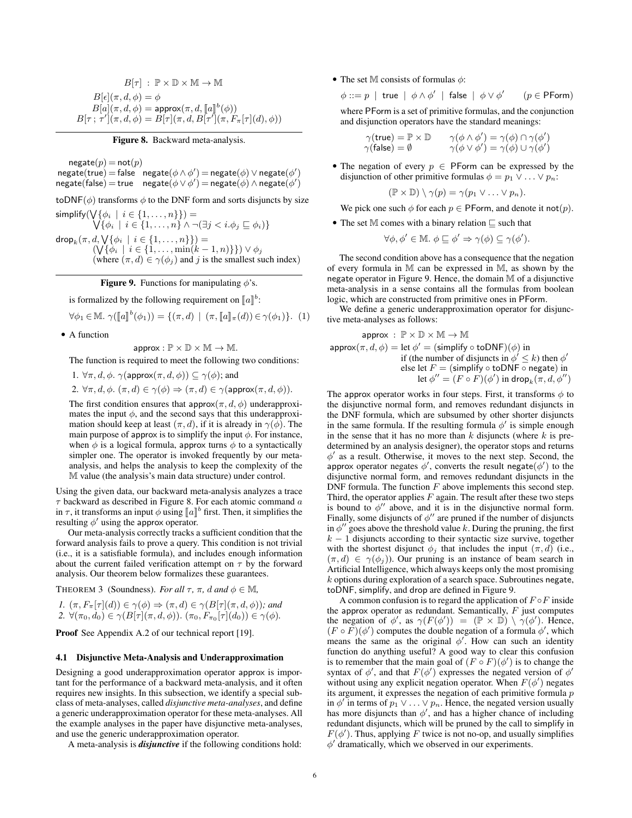$$
B[\tau] : \mathbb{P} \times \mathbb{D} \times \mathbb{M} \to \mathbb{M}
$$
  
\n
$$
B[\epsilon](\pi, d, \phi) = \phi
$$
  
\n
$$
B[a](\pi, d, \phi) = \text{approx}(\pi, d, [\![a]\!]^b(\phi))
$$
  
\n
$$
B[\tau; \tau'](\pi, d, \phi) = B[\tau](\pi, d, B[\tau'](\pi, F_{\pi}[\tau](d), \phi))
$$

Figure 8. Backward meta-analysis.

$$
\begin{matrix} \text{negative}(p) = \text{not}(p) \\ \text{negative}(\text{true}) = \text{false} \quad \text{negative}(\phi \land \phi') = \text{negative}(\phi) \lor \text{negative}(\phi') \\ \text{negative}(\text{false}) = \text{true} \quad \text{negative}(\phi \lor \phi') = \text{negative}(\phi) \land \text{negative}(\phi') \end{matrix}
$$

toDNF( $\phi$ ) transforms  $\phi$  to the DNF form and sorts disjuncts by size

simplify( W W  $\{\phi_i \mid i \in \{1, \ldots, n\}\}\)=$  $\{\phi_i \mid i \in \{1, \ldots, n\} \land \neg (\exists j < i \ldotp \phi_j \sqsubseteq \phi_i)\}\$  $\mathsf{drop}_k(\pi,d,\bigvee\{\phi_i\,\mid\,i\in\{1,\dots,n\}\})=$  $(\bigvee {\phi_i} \mid i \in \{1, ..., \min(k-1, n)\}) \vee \phi_j$ (where  $(\pi, d) \in \gamma(\phi_j)$  and j is the smallest such index)

**Figure 9.** Functions for manipulating  $\phi$ 's.

is formalized by the following requirement on  $\llbracket a \rrbracket^b$ :

$$
\forall \phi_1 \in \mathbb{M}. \ \gamma([\![a]\!]^b(\phi_1)) = \{ (\pi, d) \mid (\pi, [\![a]\!]_\pi(d)) \in \gamma(\phi_1) \}. \tag{1}
$$

• A function

 $approx: \mathbb{P} \times \mathbb{D} \times \mathbb{M} \rightarrow \mathbb{M}.$ 

The function is required to meet the following two conditions:

1.  $\forall \pi, d, \phi$ .  $\gamma(\text{approx}(\pi, d, \phi)) \subseteq \gamma(\phi)$ ; and

2. 
$$
\forall \pi, d, \phi \in (\pi, d) \in \gamma(\phi) \Rightarrow (\pi, d) \in \gamma(\text{approx}(\pi, d, \phi)).
$$

The first condition ensures that  $approx(\pi, d, \phi)$  underapproximates the input  $\phi$ , and the second says that this underapproximation should keep at least  $(\pi, d)$ , if it is already in  $\gamma(\phi)$ . The main purpose of approx is to simplify the input  $\phi$ . For instance, when  $\phi$  is a logical formula, approx turns  $\phi$  to a syntactically simpler one. The operator is invoked frequently by our metaanalysis, and helps the analysis to keep the complexity of the M value (the analysis's main data structure) under control.

Using the given data, our backward meta-analysis analyzes a trace  $\tau$  backward as described in Figure 8. For each atomic command  $\alpha$ in  $\tau$ , it transforms an input  $\phi$  using  $\llbracket a \rrbracket^b$  first. Then, it simplifies the resulting  $\phi'$  using the approx operator resulting  $\phi'$  using the approx operator.

Our meta-analysis correctly tracks a sufficient condition that the forward analysis fails to prove a query. This condition is not trivial (i.e., it is a satisfiable formula), and includes enough information about the current failed verification attempt on  $\tau$  by the forward analysis. Our theorem below formalizes these guarantees.

THEOREM 3 (Soundness). *For all*  $\tau$ ,  $\pi$ , *d* and  $\phi \in M$ ,

*1.*  $(\pi, F_{\pi}[\tau](d)) \in \gamma(\phi) \Rightarrow (\pi, d) \in \gamma(B[\tau](\pi, d, \phi))$ *; and* 2.  $\forall (\pi_0, d_0) \in \gamma(B[\tau](\pi, d, \phi))$ .  $(\pi_0, F_{\pi_0}[\tau](d_0)) \in \gamma(\phi)$ .

Proof See Appendix A.2 of our technical report [19].

## 4.1 Disjunctive Meta-Analysis and Underapproximation

Designing a good underapproximation operator approx is important for the performance of a backward meta-analysis, and it often requires new insights. In this subsection, we identify a special subclass of meta-analyses, called *disjunctive meta-analyses*, and define a generic underapproximation operator for these meta-analyses. All the example analyses in the paper have disjunctive meta-analyses, and use the generic underapproximation operator.

A meta-analysis is *disjunctive* if the following conditions hold:

• The set M consists of formulas  $\phi$ :

$$
\phi ::= p \mid \text{true} \mid \phi \land \phi' \mid \text{false} \mid \phi \lor \phi' \qquad (p \in \text{PForm})
$$

where PForm is a set of primitive formulas, and the conjunction and disjunction operators have the standard meanings:

$$
\begin{array}{ll}\gamma(\mathsf{true}) = \mathbb{P} \times \mathbb{D} & \quad \gamma(\phi \wedge \phi') = \gamma(\phi) \cap \gamma(\phi')\\ \gamma(\mathsf{false}) = \emptyset & \quad \gamma(\phi \vee \phi') = \gamma(\phi) \cup \gamma(\phi') \end{array}
$$

• The negation of every  $p \in \mathsf{PForm}$  can be expressed by the disjunction of other primitive formulas  $\phi = p_1 \vee \ldots \vee p_n$ :

$$
(\mathbb{P} \times \mathbb{D}) \setminus \gamma(p) = \gamma(p_1 \vee \ldots \vee p_n).
$$

We pick one such  $\phi$  for each  $p \in \mathsf{PForm}$ , and denote it not $(p)$ .

• The set M comes with a binary relation  $\sqsubseteq$  such that

$$
\forall \phi, \phi' \in \mathbb{M}. \ \phi \sqsubseteq \phi' \Rightarrow \gamma(\phi) \subseteq \gamma(\phi').
$$

The second condition above has a consequence that the negation of every formula in M can be expressed in M, as shown by the negate operator in Figure 9. Hence, the domain M of a disjunctive meta-analysis in a sense contains all the formulas from boolean logic, which are constructed from primitive ones in PForm.

We define a generic underapproximation operator for disjunctive meta-analyses as follows:

$$
\mathsf{approx} : \mathbb{P} \times \mathbb{D} \times \mathbb{M} \to \mathbb{M}
$$
\n
$$
\mathsf{approx}(\pi, d, \phi) = \text{let } \phi' = (\text{simplify} \circ \text{toDNF})(\phi) \text{ in}
$$
\n
$$
\text{if (the number of disjuncts in } \phi' \leq k) \text{ then } \phi' \text{ else let } F = (\text{simplify} \circ \text{toDNF} \circ \text{negate}) \text{ in}
$$
\n
$$
\text{let } \phi'' = (F \circ F)(\phi') \text{ in } \text{drop}_k(\pi, d, \phi'')
$$

The approx operator works in four steps. First, it transforms  $\phi$  to the disjunctive normal form, and removes redundant disjuncts in the DNF formula, which are subsumed by other shorter disjuncts in the same formula. If the resulting formula  $\phi'$  is simple enough in the sense that it has no more than  $k$  disjuncts (where  $k$  is predetermined by an analysis designer), the operator stops and returns  $\phi'$  as a result. Otherwise, it moves to the next step. Second, the approx operator negates  $\phi'$ , converts the result negate( $\phi'$ ) to the disjunctive normal form, and removes redundant disjuncts in the DNF formula. The function  $F$  above implements this second step. Third, the operator applies  $F$  again. The result after these two steps is bound to  $\phi''$  above, and it is in the disjunctive normal form. Finally, some disjuncts of  $\phi''$  are pruned if the number of disjuncts in  $\phi''$  goes above the threshold value k. During the pruning, the first  $k - 1$  disjuncts according to their syntactic size survive, together with the shortest disjunct  $\phi_i$  that includes the input  $(\pi, d)$  (i.e.,  $(\pi, d) \in \gamma(\phi_i)$ ). Our pruning is an instance of beam search in Artificial Intelligence, which always keeps only the most promising  $k$  options during exploration of a search space. Subroutines negate, toDNF, simplify, and drop are defined in Figure 9.

A common confusion is to regard the application of  $F \circ F$  inside the approx operator as redundant. Semantically,  $F$  just computes the negation of  $\phi'$ , as  $\gamma(F(\phi')) = (\mathbb{P} \times \mathbb{D}) \setminus \gamma(\phi')$ . Hence,  $(F \circ F)(\phi')$  computes the double negation of a formula  $\phi'$ , which means the same as the original  $\phi'$ . How can such an identity function do anything useful? A good way to clear this confusion is to remember that the main goal of  $(F \circ F)(\phi')$  is to change the syntax of  $\phi'$ , and that  $F(\phi')$  expresses the negated version of  $\phi'$ without using any explicit negation operator. When  $F(\phi')$  negates its argument, it expresses the negation of each primitive formula  $p$ in  $\phi'$  in terms of  $p_1 \vee \ldots \vee p_n$ . Hence, the negated version usually has more disjuncts than  $\phi'$ , and has a higher chance of including redundant disjuncts, which will be pruned by the call to simplify in  $F(\phi')$ . Thus, applying F twice is not no-op, and usually simplifies φ 0 dramatically, which we observed in our experiments.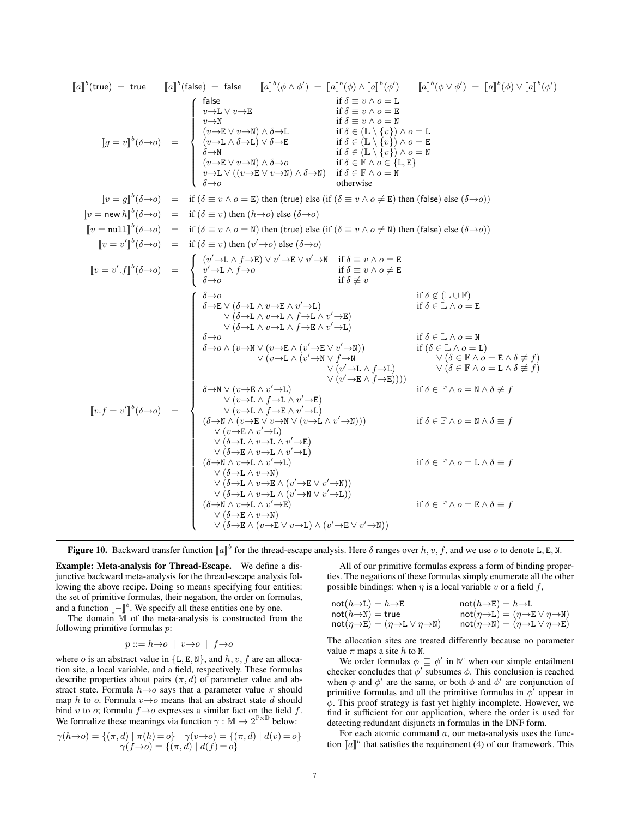JaK b (true) = true <sup>J</sup>a<sup>K</sup> b (false) = false <sup>J</sup>a<sup>K</sup> b (φ ∧ φ 0 ) = <sup>J</sup>a<sup>K</sup> b (φ) <sup>∧</sup> <sup>J</sup>a<sup>K</sup> b (φ 0 ) <sup>J</sup>a<sup>K</sup> b (φ ∨ φ 0 ) = <sup>J</sup>a<sup>K</sup> b (φ) <sup>∨</sup> <sup>J</sup>a<sup>K</sup> b (φ 0 ) <sup>J</sup><sup>g</sup> <sup>=</sup> <sup>v</sup><sup>K</sup> b (δ→o) = false if δ ≡ v ∧ o = L v→L ∨ v→E if δ ≡ v ∧ o = E v→N if δ ≡ v ∧ o = N (v→E ∨ v→N) ∧ δ→L if δ ∈ (L \ {v}) ∧ o = L (v→L ∧ δ→L) ∨ δ→E if δ ∈ (L \ {v}) ∧ o = E δ→N if δ ∈ (L \ {v}) ∧ o = N (v→E ∨ v→N) ∧ δ→o if δ ∈ F ∧ o ∈ {L, E} v→L ∨ ((v→E ∨ v→N) ∧ δ→N) if δ ∈ F ∧ o = N δ→o otherwise <sup>J</sup><sup>v</sup> <sup>=</sup> <sup>g</sup><sup>K</sup> b (δ→o) = if (δ ≡ v ∧ o = E) then (true) else (if (δ ≡ v ∧ o 6= E) then (false) else (δ→o)) <sup>J</sup><sup>v</sup> <sup>=</sup> new <sup>h</sup><sup>K</sup> b (δ→o) = if (δ ≡ v) then (h→o) else (δ→o) <sup>J</sup><sup>v</sup> <sup>=</sup> null<sup>K</sup> b (δ→o) = if (δ ≡ v ∧ o = N) then (true) else (if (δ ≡ v ∧ o 6= N) then (false) else (δ→o)) <sup>J</sup><sup>v</sup> <sup>=</sup> <sup>v</sup> 0 K b (δ→o) = if (δ ≡ v) then (v <sup>0</sup>→o) else (δ→o) <sup>J</sup><sup>v</sup> <sup>=</sup> <sup>v</sup> 0 .fK b (δ→o) = (v <sup>0</sup>→L ∧ f→E) ∨ v <sup>0</sup>→E ∨ v <sup>0</sup>→N if δ ≡ v ∧ o = E v <sup>0</sup>→L ∧ f→o if δ ≡ v ∧ o 6= E δ→o if δ 6≡ v <sup>J</sup>v.f <sup>=</sup> <sup>v</sup> 0 K b (δ→o) = δ→o if δ 6∈ (L ∪ F) δ→E ∨ (δ→L ∧ v→E ∧ v <sup>0</sup>→L) ∨ (δ→L ∧ v→L ∧ f→L ∧ v <sup>0</sup>→E) ∨ (δ→L ∧ v→L ∧ f→E ∧ v <sup>0</sup>→L) if δ ∈ L ∧ o = E δ→o if δ ∈ L ∧ o = N δ→o ∧ (v→N ∨ (v→E ∧ (v <sup>0</sup>→E ∨ v <sup>0</sup>→N)) ∨ (v→L ∧ (v <sup>0</sup>→N ∨ f→N ∨ (v <sup>0</sup>→L ∧ f→L) ∨ (v <sup>0</sup>→E ∧ f→E)))) if (δ ∈ L ∧ o = L) ∨ (δ ∈ F ∧ o = E ∧ δ 6≡ f) ∨ (δ ∈ F ∧ o = L ∧ δ 6≡ f) δ→N ∨ (v→E ∧ v <sup>0</sup>→L) ∨ (v→L ∧ f→L ∧ v <sup>0</sup>→E) ∨ (v→L ∧ f→E ∧ v <sup>0</sup>→L) if δ ∈ F ∧ o = N ∧ δ 6≡ f (δ→N ∧ (v→E ∨ v→N ∨ (v→L ∧ v <sup>0</sup>→N))) ∨ (v→E ∧ v <sup>0</sup>→L) ∨ (δ→L ∧ v→L ∧ v <sup>0</sup>→E) ∨ (δ→E ∧ v→L ∧ v <sup>0</sup>→L) if δ ∈ F ∧ o = N ∧ δ ≡ f (δ→N ∧ v→L ∧ v <sup>0</sup>→L) ∨ (δ→L ∧ v→N) ∨ (δ→L ∧ v→E ∧ (v <sup>0</sup>→E ∨ v <sup>0</sup>→N)) ∨ (δ→L ∧ v→L ∧ (v <sup>0</sup>→N ∨ v <sup>0</sup>→L)) if δ ∈ F ∧ o = L ∧ δ ≡ f (δ→N ∧ v→L ∧ v <sup>0</sup>→E) ∨ (δ→E ∧ v→N) ∨ (δ→E ∧ (v→E ∨ v→L) ∧ (v <sup>0</sup>→E ∨ v <sup>0</sup>→N)) if δ ∈ F ∧ o = E ∧ δ ≡ f

**Figure 10.** Backward transfer function  $[\![a]\!]^b$  for the thread-escape analysis. Here  $\delta$  ranges over  $h, v, f$ , and we use  $o$  to denote L, E, N.

Example: Meta-analysis for Thread-Escape. We define a disjunctive backward meta-analysis for the thread-escape analysis following the above recipe. Doing so means specifying four entities: the set of primitive formulas, their negation, the order on formulas, and a function  $\llbracket - \rrbracket^b$ . We specify all these entities one by one.<br>The domain  $\mathbb{M}$  of the meta-analysis is constructed from

The domain M of the meta-analysis is constructed from the following primitive formulas p:

$$
p ::= h \rightarrow o \mid v \rightarrow o \mid f \rightarrow o
$$

where *o* is an abstract value in  ${L, E, N}$ , and *h*, *v*, *f* are an allocation site, a local variable, and a field, respectively. These formulas describe properties about pairs  $(\pi, d)$  of parameter value and abstract state. Formula  $h\rightarrow o$  says that a parameter value  $\pi$  should map h to o. Formula  $v \rightarrow o$  means that an abstract state d should bind v to o; formula  $f \rightarrow o$  expresses a similar fact on the field f. We formalize these meanings via function  $\gamma : \mathbb{M} \to 2^{\mathbb{P} \times \mathbb{D}}$  below:

$$
\gamma(h \to o) = \{ (\pi, d) \mid \pi(h) = o \} \quad \gamma(v \to o) = \{ (\pi, d) \mid d(v) = o \} \n\gamma(f \to o) = \{ (\pi, d) \mid d(f) = o \}
$$

All of our primitive formulas express a form of binding properties. The negations of these formulas simply enumerate all the other possible bindings: when  $\eta$  is a local variable v or a field f,

| $not(h \rightarrow L) = h \rightarrow E$                                 | $not(h\rightarrow E) = h\rightarrow L$                                   |
|--------------------------------------------------------------------------|--------------------------------------------------------------------------|
| $not(h\rightarrow N)$ = true                                             | $not(\eta \rightarrow L) = (\eta \rightarrow E \vee \eta \rightarrow N)$ |
| $not(\eta \rightarrow E) = (\eta \rightarrow L \vee \eta \rightarrow N)$ | $not(\eta \rightarrow N) = (\eta \rightarrow L \vee \eta \rightarrow E)$ |

The allocation sites are treated differently because no parameter value  $\pi$  maps a site h to N.

We order formulas  $\phi \subseteq \phi'$  in M when our simple entailment checker concludes that  $\phi'$  subsumes  $\phi$ . This conclusion is reached when  $\phi$  and  $\phi'$  are the same, or both  $\phi$  and  $\phi'$  are conjunction of primitive formulas and all the primitive formulas in  $\phi'$  appear in  $\phi$ . This proof strategy is fast yet highly incomplete. However, we find it sufficient for our application, where the order is used for detecting redundant disjuncts in formulas in the DNF form.

For each atomic command a, our meta-analysis uses the function  $\llbracket a \rrbracket^b$  that satisfies the requirement (4) of our framework. This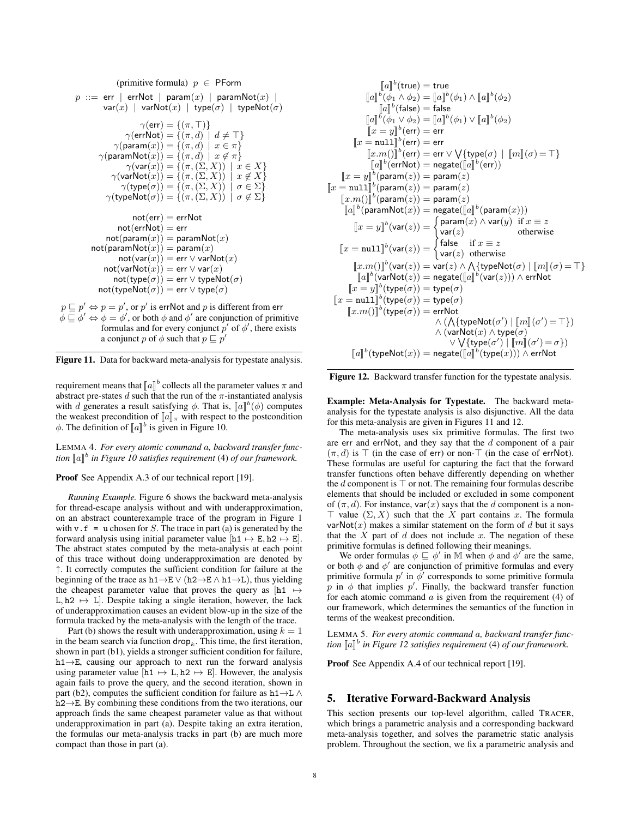(primitive formula)  $p \in \text{PForm}$  $p ::= err | errNot | param(x) | paramNot(x) |$  $var(x)$  | varNot $(x)$  | type $(\sigma)$  | typeNot $(\sigma)$  $\gamma(\textsf{err}) = \{(\pi, \top)\}$  $\gamma(\textsf{errNot}) = \{(\pi, d) \mid d \neq \top\}$  $\gamma(\mathsf{param}(x)) = \{(\pi, d) \mid x \in \pi\}$  $\gamma(\mathsf{paramNot}(x)) = \{(\pi, d) \mid x \notin \pi\}$  $\gamma(\textsf{var}(x)) = \{(\pi,(\Sigma,X)) \mid x \in X\}$  $\gamma(\mathsf{varNot}(x)) = \{(\pi,(\Sigma,X)) \mid x \notin X\}$  $\gamma(\mathsf{type}(\sigma)) = \{(\pi,(\Sigma,X))\mid \sigma \in \Sigma\}$  $\gamma(\textsf{typeNot}(\sigma)) = \{(\pi,(\Sigma,X)) \mid \sigma \notin \Sigma\}$  $not(err) = errNot$  $not(errNot) = err$  $not(param(x)) = paramNot(x)$  $not(paramNot(x)) = param(x)$  $not(var(x)) = err \vee varNot(x)$  $not(varNot(x)) = err \vee var(x)$  $not(type(\sigma)) = err \vee typeNot(\sigma)$  $\mathsf{not}(\mathsf{typeNot}(\sigma)) = \mathsf{err} \vee \mathsf{type}(\sigma)$  $p \sqsubseteq p' \Leftrightarrow p = p'$ , or  $p'$  is errNot and  $p$  is different from err

 $\phi \sqsubseteq \phi' \Leftrightarrow \phi = \phi'$ , or both  $\phi$  and  $\phi'$  are conjunction of primitive formulas and for every conjunct  $p'$  of  $\phi'$ , there exists a conjunct p of  $\phi$  such that  $p \sqsubseteq p'$ 



requirement means that  $[\![a]\!]^b$  collects all the parameter values  $\pi$  and abstract pre-states  $d$  such that the run of the  $\pi$ -instantiated analysis abstract pre-states d such that the run of the  $\pi$ -instantiated analysis with d generates a result satisfying  $\phi$ . That is,  $\llbracket a \rrbracket^b(\phi)$  computes<br>the weakest precondition of  $\llbracket a \rrbracket$ , with respect to the postcondition the weakest precondition of  $\llbracket a \rrbracket_{\pi}$  with respect to the postcondition  $\phi$ . The definition of  $\llbracket a \rrbracket^b$  is given in Figure 10.

LEMMA 4. *For every atomic command* a*, backward transfer func*tion  $[\![a]\!]^b$  in Figure 10 satisfies requirement (4) of our framework.

Proof See Appendix A.3 of our technical report [19].

*Running Example.* Figure 6 shows the backward meta-analysis for thread-escape analysis without and with underapproximation, on an abstract counterexample trace of the program in Figure 1 with  $v \cdot f = u$  chosen for S. The trace in part (a) is generated by the forward analysis using initial parameter value  $[h1 \mapsto E, h2 \mapsto E]$ . The abstract states computed by the meta-analysis at each point of this trace without doing underapproximation are denoted by ↑. It correctly computes the sufficient condition for failure at the beginning of the trace as  $h1\rightarrow E \vee (h2\rightarrow E \wedge h1\rightarrow L)$ , thus yielding the cheapest parameter value that proves the query as  $[h1 \rightarrow$ L,  $h2 \leftrightarrow L$ ]. Despite taking a single iteration, however, the lack of underapproximation causes an evident blow-up in the size of the formula tracked by the meta-analysis with the length of the trace.

Part (b) shows the result with underapproximation, using  $k = 1$ in the beam search via function  $\text{drop}_k$ . This time, the first iteration, shown in part (b1), yields a stronger sufficient condition for failure, h1→E, causing our approach to next run the forward analysis using parameter value  $[h1 \mapsto L, h2 \mapsto E]$ . However, the analysis again fails to prove the query, and the second iteration, shown in part (b2), computes the sufficient condition for failure as  $h1 \rightarrow L \land$ h2→E. By combining these conditions from the two iterations, our approach finds the same cheapest parameter value as that without underapproximation in part (a). Despite taking an extra iteration, the formulas our meta-analysis tracks in part (b) are much more compact than those in part (a).

$$
[\![a]\!]^{b}(\text{true}) = \text{true}
$$
\n
$$
[\![a]\!]^{b}(\phi_{1} \wedge \phi_{2}) = [\![a]\!]^{b}(\phi_{1}) \wedge [\![a]\!]^{b}(\phi_{2})
$$
\n
$$
[\![a]\!]^{b}(\text{false}) = \text{false}
$$
\n
$$
[\![a]\!]^{b}(\phi_{1} \vee \phi_{2}) = [\![a]\!]^{b}(\phi_{1}) \vee [\![a]\!]^{b}(\phi_{2})
$$
\n
$$
[\![x = y]\!]^{b}(\text{err}) = \text{err}
$$
\n
$$
[\![x, m()]\!]^{b}(\text{err}) = \text{err} \vee \vee \{\text{type}(\sigma) \mid [\![m]\!](\sigma) = \top\}
$$
\n
$$
[\![a]\!]^{b}(\text{errNot}) = \text{negative}([\![a]\!]^{b}(\text{err}))
$$
\n
$$
[\![x = y]\!]^{b}(\text{param}(z)) = \text{param}(z)
$$
\n
$$
[\![x, m()]\!]^{b}(\text{param}(z)) = \text{param}(z)
$$
\n
$$
[\![x, m()]\!]^{b}(\text{param}(z)) = \text{param}(z)
$$
\n
$$
[\![x, m()]\!]^{b}(\text{param}(z)) = \text{negative}([\![a]\!]^{b}(\text{param}(x)))
$$
\n
$$
[\![x = y]\!]^{b}(\text{var}(z)) = \begin{cases} \text{param}(x) \wedge \text{var}(y) & \text{if } x \equiv z \\ \text{var}(z) & \text{otherwise} \end{cases}
$$
\n
$$
[\![x, m()]\!]^{b}(\text{var}(z)) = \text{var}(z) \wedge \wedge \{\text{typeNot}(\sigma) \mid [\![m]\!](\sigma) = \top\}
$$
\n
$$
[\![a]\!]^{b}(\text{varNot}(z)) = \text{negative}([\![a]\!]^{b}(\text{var}(z))) \wedge \text{errNot}
$$
\n
$$
[\![x = y]\!]^{b}(\text{type}(\sigma)) = \text{type}(\sigma)
$$
\n
$$
[\![x, m()]\!]^{b}(\text{type}(\sigma)) = \text{true}(\sigma)
$$
\n
$$
[\![x, m()]\!]^{b}(\text
$$

Figure 12. Backward transfer function for the typestate analysis.

Example: Meta-Analysis for Typestate. The backward metaanalysis for the typestate analysis is also disjunctive. All the data for this meta-analysis are given in Figures 11 and 12.

The meta-analysis uses six primitive formulas. The first two are err and errNot, and they say that the  $d$  component of a pair  $(\pi, d)$  is  $\top$  (in the case of err) or non- $\top$  (in the case of errNot). These formulas are useful for capturing the fact that the forward transfer functions often behave differently depending on whether the d component is  $\top$  or not. The remaining four formulas describe elements that should be included or excluded in some component of  $(\pi, d)$ . For instance, var $(x)$  says that the d component is a non- $\top$  value  $(\Sigma, X)$  such that the X part contains x. The formula varNot(x) makes a similar statement on the form of d but it says that the  $X$  part of  $d$  does not include  $x$ . The negation of these primitive formulas is defined following their meanings.

We order formulas  $\phi \sqsubseteq \phi'$  in M when  $\phi$  and  $\phi'$  are the same, or both  $\phi$  and  $\phi'$  are conjunction of primitive formulas and every primitive formula  $p'$  in  $\phi'$  corresponds to some primitive formula p in  $\phi$  that implies p'. Finally, the backward transfer function for each atomic command  $a$  is given from the requirement (4) of our framework, which determines the semantics of the function in terms of the weakest precondition.

LEMMA 5. *For every atomic command* a*, backward transfer func*tion  $[\![a]\!]^b$  in Figure 12 satisfies requirement (4) of our framework.

Proof See Appendix A.4 of our technical report [19].

# 5. Iterative Forward-Backward Analysis

This section presents our top-level algorithm, called TRACER, which brings a parametric analysis and a corresponding backward meta-analysis together, and solves the parametric static analysis problem. Throughout the section, we fix a parametric analysis and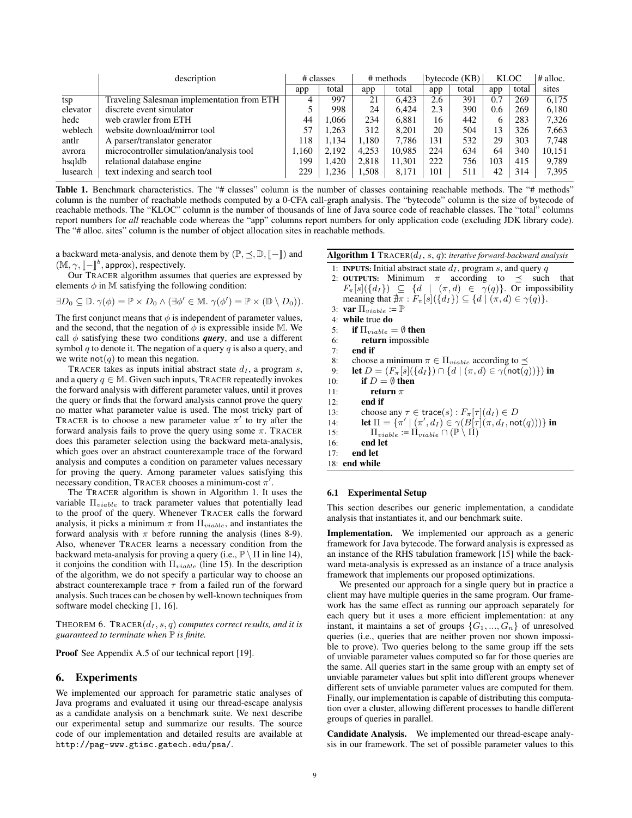|          | description                                |       | # classes |       | # methods |     | bytecode $(KB)$ |     | <b>KLOC</b> | $\#$ alloc. |
|----------|--------------------------------------------|-------|-----------|-------|-----------|-----|-----------------|-----|-------------|-------------|
|          |                                            | app   | total     | app   | total     | app | total           | app | total       | sites       |
| tsp      | Traveling Salesman implementation from ETH | 4     | 997       | 21    | 6.423     | 2.6 | 391             | 0.7 | 269         | 6,175       |
| elevator | discrete event simulator                   |       | 998       | 24    | 6.424     | 2.3 | 390             | 0.6 | 269         | 6.180       |
| hedc     | web crawler from ETH                       | 44    | 1.066     | 234   | 6.881     | 16  | 442             | 6   | 283         | 7,326       |
| weblech  | website download/mirror tool               | 57    | .263      | 312   | 8.201     | 20  | 504             | 13  | 326         | 7,663       |
| antlr    | A parser/translator generator              | 118   | 1.134     | 1.180 | 7.786     | 131 | 532             | 29  | 303         | 7.748       |
| avrora   | microcontroller simulation/analysis tool   | 1.160 | 2.192     | 4,253 | 10,985    | 224 | 634             | 64  | 340         | 10,151      |
| hsqldb   | relational database engine                 | 199   | 1.420     | 2.818 | 11.301    | 222 | 756             | 103 | 415         | 9,789       |
| lusearch | text indexing and search tool              | 229   | .236      | 1,508 | 8.171     | 101 | 511             | 42  | 314         | 7,395       |

Table 1. Benchmark characteristics. The "# classes" column is the number of classes containing reachable methods. The "# methods" column is the number of reachable methods computed by a 0-CFA call-graph analysis. The "bytecode" column is the size of bytecode of reachable methods. The "KLOC" column is the number of thousands of line of Java source code of reachable classes. The "total" columns report numbers for *all* reachable code whereas the "app" columns report numbers for only application code (excluding JDK library code). The "# alloc. sites" column is the number of object allocation sites in reachable methods.

a backward meta-analysis, and denote them by  $(\mathbb{P}, \leq, \mathbb{D}, \llbracket - \rrbracket)$  and  $(\mathbb{M}, \gamma, \llbracket - \rrbracket^b, \text{approx}),$  respectively.<br>Our TPACEP algorithm assume

Our TRACER algorithm assumes that queries are expressed by elements  $\phi$  in M satisfying the following condition:

 $\exists D_0 \subseteq \mathbb{D}.\gamma(\phi) = \mathbb{P} \times D_0 \wedge (\exists \phi' \in \mathbb{M}.\ \gamma(\phi') = \mathbb{P} \times (\mathbb{D} \setminus D_0)).$ 

The first conjunct means that  $\phi$  is independent of parameter values, and the second, that the negation of  $\phi$  is expressible inside M. We call  $\phi$  satisfying these two conditions *query*, and use a different symbol q to denote it. The negation of a query q is also a query, and we write  $not(q)$  to mean this negation.

TRACER takes as inputs initial abstract state  $d<sub>I</sub>$ , a program s, and a query  $q \in M$ . Given such inputs, TRACER repeatedly invokes the forward analysis with different parameter values, until it proves the query or finds that the forward analysis cannot prove the query no matter what parameter value is used. The most tricky part of TRACER is to choose a new parameter value  $\pi'$  to try after the forward analysis fails to prove the query using some  $\pi$ . TRACER does this parameter selection using the backward meta-analysis, which goes over an abstract counterexample trace of the forward analysis and computes a condition on parameter values necessary for proving the query. Among parameter values satisfying this necessary condition, TRACER chooses a minimum-cost  $\pi'$ .

The TRACER algorithm is shown in Algorithm 1. It uses the variable  $\Pi_{viable}$  to track parameter values that potentially lead to the proof of the query. Whenever TRACER calls the forward analysis, it picks a minimum  $\pi$  from  $\Pi_{viable}$ , and instantiates the forward analysis with  $\pi$  before running the analysis (lines 8-9). Also, whenever TRACER learns a necessary condition from the backward meta-analysis for proving a query (i.e.,  $\mathbb{P} \setminus \Pi$  in line 14), it conjoins the condition with  $\Pi_{viable}$  (line 15). In the description of the algorithm, we do not specify a particular way to choose an abstract counterexample trace  $\tau$  from a failed run of the forward analysis. Such traces can be chosen by well-known techniques from software model checking [1, 16].

THEOREM 6. TRACER $(d_I, s, q)$  *computes correct results, and it is guaranteed to terminate when* P *is finite.*

Proof See Appendix A.5 of our technical report [19].

#### 6. Experiments

We implemented our approach for parametric static analyses of Java programs and evaluated it using our thread-escape analysis as a candidate analysis on a benchmark suite. We next describe our experimental setup and summarize our results. The source code of our implementation and detailed results are available at http://pag-www.gtisc.gatech.edu/psa/.

Algorithm 1 TRACER( $d_I$ , s, q): *iterative forward-backward analysis* 

- 1: INPUTS: Initial abstract state  $d_I$ , program s, and query  $q$
- 2: OUTPUTS: Minimum  $\pi$  according to  $\preceq$  such that  $F_{\pi}[s](\lbrace d_I \rbrace) \subseteq \lbrace d \mid (\pi, d) \in \gamma(q) \rbrace$ . Or impossibility meaning that  $\sharp \pi : F_{\pi}[s](\{d_I\}) \subseteq \{d \mid (\pi, d) \in \gamma(q)\}.$
- 3: var  $\Pi_{viable} := \mathbb{P}$
- 4: while true do
- 5: if  $\Pi_{viable} = \emptyset$  then
- 6: return impossible
- 7: end if
- 8: choose a minimum  $\pi \in \Pi_{viable}$  according to  $\preceq$
- 9: **let**  $D = (F_{\pi}[s](\{d_I\}) \cap \{d \mid (\pi, d) \in \gamma(\text{not}(q))\})$  in
- 10: **if**  $D = \emptyset$  then
- 11: **return**  $\pi$
- 12: end if
- 13: choose any  $\tau \in \text{trace}(s) : F_{\pi}[\tau](d_I) \in D$
- 14: **let**  $\Pi = {\pi' \mid (\pi', d_I) \in \gamma(B[\tau](\pi, d_I, \text{not}(q))) }$  in
- 15:  $\Pi_{viable} := \Pi_{viable} \cap (\mathbb{P} \setminus \Pi)$
- 16: end let
- 17: end let
- 18: end while

#### 6.1 Experimental Setup

This section describes our generic implementation, a candidate analysis that instantiates it, and our benchmark suite.

Implementation. We implemented our approach as a generic framework for Java bytecode. The forward analysis is expressed as an instance of the RHS tabulation framework [15] while the backward meta-analysis is expressed as an instance of a trace analysis framework that implements our proposed optimizations.

We presented our approach for a single query but in practice a client may have multiple queries in the same program. Our framework has the same effect as running our approach separately for each query but it uses a more efficient implementation: at any instant, it maintains a set of groups  $\{G_1, ..., G_n\}$  of unresolved queries (i.e., queries that are neither proven nor shown impossible to prove). Two queries belong to the same group iff the sets of unviable parameter values computed so far for those queries are the same. All queries start in the same group with an empty set of unviable parameter values but split into different groups whenever different sets of unviable parameter values are computed for them. Finally, our implementation is capable of distributing this computation over a cluster, allowing different processes to handle different groups of queries in parallel.

Candidate Analysis. We implemented our thread-escape analysis in our framework. The set of possible parameter values to this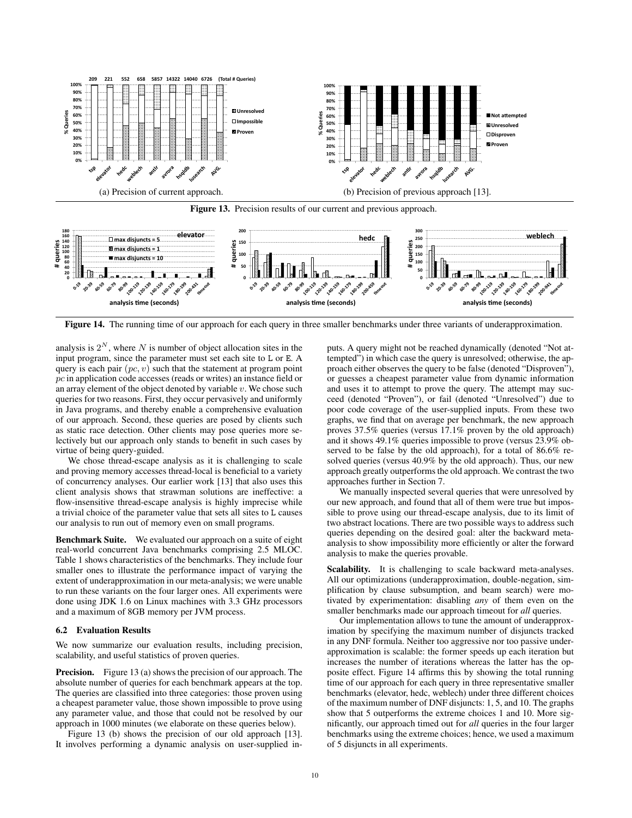

Figure 13. Precision results of our current and previous approach.



Figure 14. The running time of our approach for each query in three smaller benchmarks under three variants of underapproximation.

analysis is  $2^N$ , where N is number of object allocation sites in the input program, since the parameter must set each site to L or E. A query is each pair  $(pc, v)$  such that the statement at program point pc in application code accesses (reads or writes) an instance field or an array element of the object denoted by variable  $v$ . We chose such queries for two reasons. First, they occur pervasively and uniformly in Java programs, and thereby enable a comprehensive evaluation of our approach. Second, these queries are posed by clients such as static race detection. Other clients may pose queries more selectively but our approach only stands to benefit in such cases by virtue of being query-guided.

We chose thread-escape analysis as it is challenging to scale and proving memory accesses thread-local is beneficial to a variety of concurrency analyses. Our earlier work [13] that also uses this client analysis shows that strawman solutions are ineffective: a flow-insensitive thread-escape analysis is highly imprecise while a trivial choice of the parameter value that sets all sites to L causes our analysis to run out of memory even on small programs.

Benchmark Suite. We evaluated our approach on a suite of eight real-world concurrent Java benchmarks comprising 2.5 MLOC. Table 1 shows characteristics of the benchmarks. They include four smaller ones to illustrate the performance impact of varying the extent of underapproximation in our meta-analysis; we were unable to run these variants on the four larger ones. All experiments were done using JDK 1.6 on Linux machines with 3.3 GHz processors and a maximum of 8GB memory per JVM process.

## 6.2 Evaluation Results

We now summarize our evaluation results, including precision, scalability, and useful statistics of proven queries.

**Precision.** Figure 13 (a) shows the precision of our approach. The absolute number of queries for each benchmark appears at the top. The queries are classified into three categories: those proven using a cheapest parameter value, those shown impossible to prove using any parameter value, and those that could not be resolved by our approach in 1000 minutes (we elaborate on these queries below).

Figure 13 (b) shows the precision of our old approach [13]. It involves performing a dynamic analysis on user-supplied in-

puts. A query might not be reached dynamically (denoted "Not attempted") in which case the query is unresolved; otherwise, the approach either observes the query to be false (denoted "Disproven"), or guesses a cheapest parameter value from dynamic information and uses it to attempt to prove the query. The attempt may succeed (denoted "Proven"), or fail (denoted "Unresolved") due to poor code coverage of the user-supplied inputs. From these two graphs, we find that on average per benchmark, the new approach proves 37.5% queries (versus 17.1% proven by the old approach) and it shows 49.1% queries impossible to prove (versus 23.9% observed to be false by the old approach), for a total of 86.6% resolved queries (versus 40.9% by the old approach). Thus, our new approach greatly outperforms the old approach. We contrast the two approaches further in Section 7.

We manually inspected several queries that were unresolved by our new approach, and found that all of them were true but impossible to prove using our thread-escape analysis, due to its limit of two abstract locations. There are two possible ways to address such queries depending on the desired goal: alter the backward metaanalysis to show impossibility more efficiently or alter the forward analysis to make the queries provable.

Scalability. It is challenging to scale backward meta-analyses. All our optimizations (underapproximation, double-negation, simplification by clause subsumption, and beam search) were motivated by experimentation: disabling *any* of them even on the smaller benchmarks made our approach timeout for *all* queries.

Our implementation allows to tune the amount of underapproximation by specifying the maximum number of disjuncts tracked in any DNF formula. Neither too aggressive nor too passive underapproximation is scalable: the former speeds up each iteration but increases the number of iterations whereas the latter has the opposite effect. Figure 14 affirms this by showing the total running time of our approach for each query in three representative smaller benchmarks (elevator, hedc, weblech) under three different choices of the maximum number of DNF disjuncts: 1, 5, and 10. The graphs show that 5 outperforms the extreme choices 1 and 10. More significantly, our approach timed out for *all* queries in the four larger benchmarks using the extreme choices; hence, we used a maximum of 5 disjuncts in all experiments.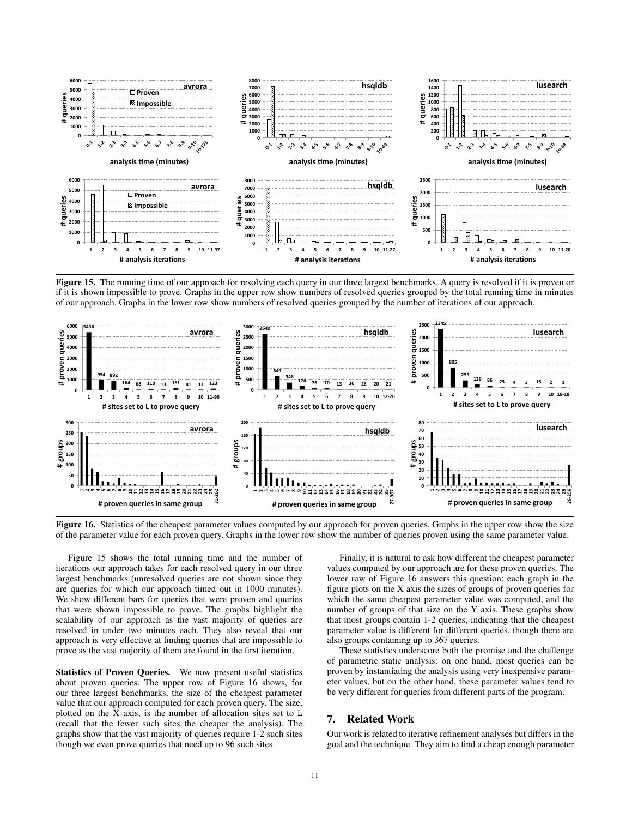

Figure 15. The running time of our approach for resolving each query in our three largest benchmarks. A query is resolved if it is proven or if it is shown impossible to prove. Graphs in the upper row show numbers of resolved queries grouped by the total running time in minutes of our approach. Graphs in the lower row show numbers of resolved queries grouped by the number of iterations of our approach.



Figure 16. Statistics of the cheapest parameter values computed by our approach for proven queries. Graphs in the upper row show the size of the parameter value for each proven query. Graphs in the lower row show the number of queries proven using the same parameter value.

Figure 15 shows the total running time and the number of iterations our approach takes for each resolved query in our three largest benchmarks (unresolved queries are not shown since they are queries for which our approach timed out in 1000 minutes). We show different bars for queries that were proven and queries that were shown impossible to prove. The graphs highlight the scalability of our approach as the vast majority of queries are resolved in under two minutes each. They also reveal that our approach is very effective at finding queries that are impossible to prove as the vast majority of them are found in the first iteration.

Statistics of Proven Queries. We now present useful statistics about proven queries. The upper row of Figure 16 shows, for our three largest benchmarks, the size of the cheapest parameter value that our approach computed for each proven query. The size, plotted on the X axis, is the number of allocation sites set to L (recall that the fewer such sites the cheaper the analysis). The graphs show that the vast majority of queries require 1-2 such sites though we even prove queries that need up to 96 such sites.

Finally, it is natural to ask how different the cheapest parameter values computed by our approach are for these proven queries. The lower row of Figure 16 answers this question: each graph in the figure plots on the X axis the sizes of groups of proven queries for which the same cheapest parameter value was computed, and the number of groups of that size on the Y axis. These graphs show that most groups contain 1-2 queries, indicating that the cheapest parameter value is different for different queries, though there are also groups containing up to 367 queries.

These statistics underscore both the promise and the challenge of parametric static analysis: on one hand, most queries can be proven by instantiating the analysis using very inexpensive parameter values, but on the other hand, these parameter values tend to be very different for queries from different parts of the program.

# 7. Related Work

Our work is related to iterative refinement analyses but differs in the goal and the technique. They aim to find a cheap enough parameter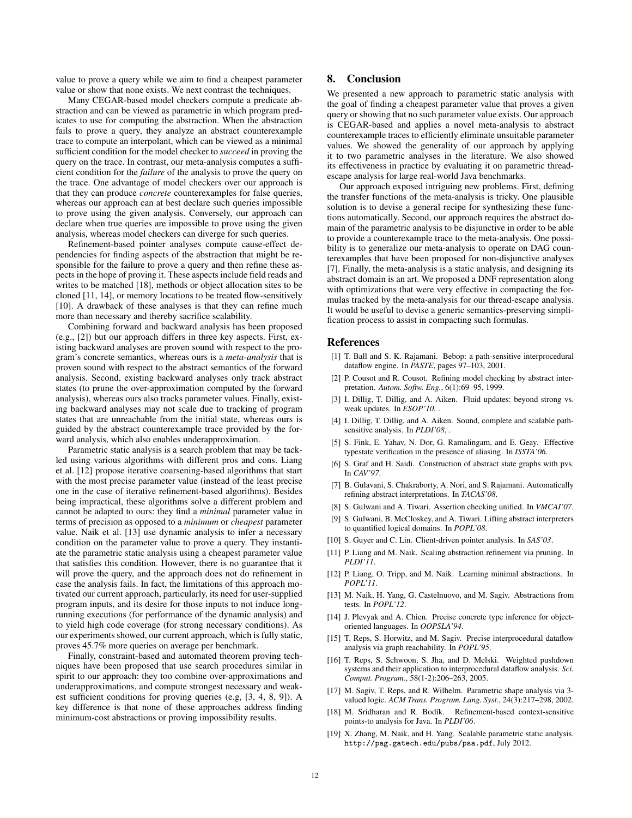value to prove a query while we aim to find a cheapest parameter value or show that none exists. We next contrast the techniques.

Many CEGAR-based model checkers compute a predicate abstraction and can be viewed as parametric in which program predicates to use for computing the abstraction. When the abstraction fails to prove a query, they analyze an abstract counterexample trace to compute an interpolant, which can be viewed as a minimal sufficient condition for the model checker to *succeed* in proving the query on the trace. In contrast, our meta-analysis computes a sufficient condition for the *failure* of the analysis to prove the query on the trace. One advantage of model checkers over our approach is that they can produce *concrete* counterexamples for false queries, whereas our approach can at best declare such queries impossible to prove using the given analysis. Conversely, our approach can declare when true queries are impossible to prove using the given analysis, whereas model checkers can diverge for such queries.

Refinement-based pointer analyses compute cause-effect dependencies for finding aspects of the abstraction that might be responsible for the failure to prove a query and then refine these aspects in the hope of proving it. These aspects include field reads and writes to be matched [18], methods or object allocation sites to be cloned [11, 14], or memory locations to be treated flow-sensitively [10]. A drawback of these analyses is that they can refine much more than necessary and thereby sacrifice scalability.

Combining forward and backward analysis has been proposed (e.g., [2]) but our approach differs in three key aspects. First, existing backward analyses are proven sound with respect to the program's concrete semantics, whereas ours is a *meta-analysis* that is proven sound with respect to the abstract semantics of the forward analysis. Second, existing backward analyses only track abstract states (to prune the over-approximation computed by the forward analysis), whereas ours also tracks parameter values. Finally, existing backward analyses may not scale due to tracking of program states that are unreachable from the initial state, whereas ours is guided by the abstract counterexample trace provided by the forward analysis, which also enables underapproximation.

Parametric static analysis is a search problem that may be tackled using various algorithms with different pros and cons. Liang et al. [12] propose iterative coarsening-based algorithms that start with the most precise parameter value (instead of the least precise one in the case of iterative refinement-based algorithms). Besides being impractical, these algorithms solve a different problem and cannot be adapted to ours: they find a *minimal* parameter value in terms of precision as opposed to a *minimum* or *cheapest* parameter value. Naik et al. [13] use dynamic analysis to infer a necessary condition on the parameter value to prove a query. They instantiate the parametric static analysis using a cheapest parameter value that satisfies this condition. However, there is no guarantee that it will prove the query, and the approach does not do refinement in case the analysis fails. In fact, the limitations of this approach motivated our current approach, particularly, its need for user-supplied program inputs, and its desire for those inputs to not induce longrunning executions (for performance of the dynamic analysis) and to yield high code coverage (for strong necessary conditions). As our experiments showed, our current approach, which is fully static, proves 45.7% more queries on average per benchmark.

Finally, constraint-based and automated theorem proving techniques have been proposed that use search procedures similar in spirit to our approach: they too combine over-approximations and underapproximations, and compute strongest necessary and weakest sufficient conditions for proving queries (e.g, [3, 4, 8, 9]). A key difference is that none of these approaches address finding minimum-cost abstractions or proving impossibility results.

# 8. Conclusion

We presented a new approach to parametric static analysis with the goal of finding a cheapest parameter value that proves a given query or showing that no such parameter value exists. Our approach is CEGAR-based and applies a novel meta-analysis to abstract counterexample traces to efficiently eliminate unsuitable parameter values. We showed the generality of our approach by applying it to two parametric analyses in the literature. We also showed its effectiveness in practice by evaluating it on parametric threadescape analysis for large real-world Java benchmarks.

Our approach exposed intriguing new problems. First, defining the transfer functions of the meta-analysis is tricky. One plausible solution is to devise a general recipe for synthesizing these functions automatically. Second, our approach requires the abstract domain of the parametric analysis to be disjunctive in order to be able to provide a counterexample trace to the meta-analysis. One possibility is to generalize our meta-analysis to operate on DAG counterexamples that have been proposed for non-disjunctive analyses [7]. Finally, the meta-analysis is a static analysis, and designing its abstract domain is an art. We proposed a DNF representation along with optimizations that were very effective in compacting the formulas tracked by the meta-analysis for our thread-escape analysis. It would be useful to devise a generic semantics-preserving simplification process to assist in compacting such formulas.

#### References

- [1] T. Ball and S. K. Rajamani. Bebop: a path-sensitive interprocedural dataflow engine. In *PASTE*, pages 97-103, 2001.
- [2] P. Cousot and R. Cousot. Refining model checking by abstract interpretation. *Autom. Softw. Eng.*, 6(1):69–95, 1999.
- [3] I. Dillig, T. Dillig, and A. Aiken. Fluid updates: beyond strong vs. weak updates. In *ESOP'10*, .
- [4] I. Dillig, T. Dillig, and A. Aiken. Sound, complete and scalable pathsensitive analysis. In *PLDI'08*, .
- [5] S. Fink, E. Yahav, N. Dor, G. Ramalingam, and E. Geay. Effective typestate verification in the presence of aliasing. In *ISSTA'06*.
- [6] S. Graf and H. Saidi. Construction of abstract state graphs with pvs. In *CAV'97*.
- [7] B. Gulavani, S. Chakraborty, A. Nori, and S. Rajamani. Automatically refining abstract interpretations. In *TACAS'08*.
- [8] S. Gulwani and A. Tiwari. Assertion checking unified. In *VMCAI'07*.
- [9] S. Gulwani, B. McCloskey, and A. Tiwari. Lifting abstract interpreters to quantified logical domains. In *POPL'08*.
- [10] S. Guyer and C. Lin. Client-driven pointer analysis. In *SAS'03*.
- [11] P. Liang and M. Naik. Scaling abstraction refinement via pruning. In *PLDI'11*.
- [12] P. Liang, O. Tripp, and M. Naik. Learning minimal abstractions. In *POPL'11*.
- [13] M. Naik, H. Yang, G. Castelnuovo, and M. Sagiv. Abstractions from tests. In *POPL'12*.
- [14] J. Plevyak and A. Chien. Precise concrete type inference for objectoriented languages. In *OOPSLA'94*.
- [15] T. Reps, S. Horwitz, and M. Sagiv. Precise interprocedural dataflow analysis via graph reachability. In *POPL'95*.
- [16] T. Reps, S. Schwoon, S. Jha, and D. Melski. Weighted pushdown systems and their application to interprocedural dataflow analysis. *Sci. Comput. Program.*, 58(1-2):206–263, 2005.
- [17] M. Sagiv, T. Reps, and R. Wilhelm. Parametric shape analysis via 3valued logic. *ACM Trans. Program. Lang. Syst.*, 24(3):217–298, 2002.
- [18] M. Sridharan and R. Bodík. Refinement-based context-sensitive points-to analysis for Java. In *PLDI'06*.
- [19] X. Zhang, M. Naik, and H. Yang. Scalable parametric static analysis. http://pag.gatech.edu/pubs/psa.pdf, July 2012.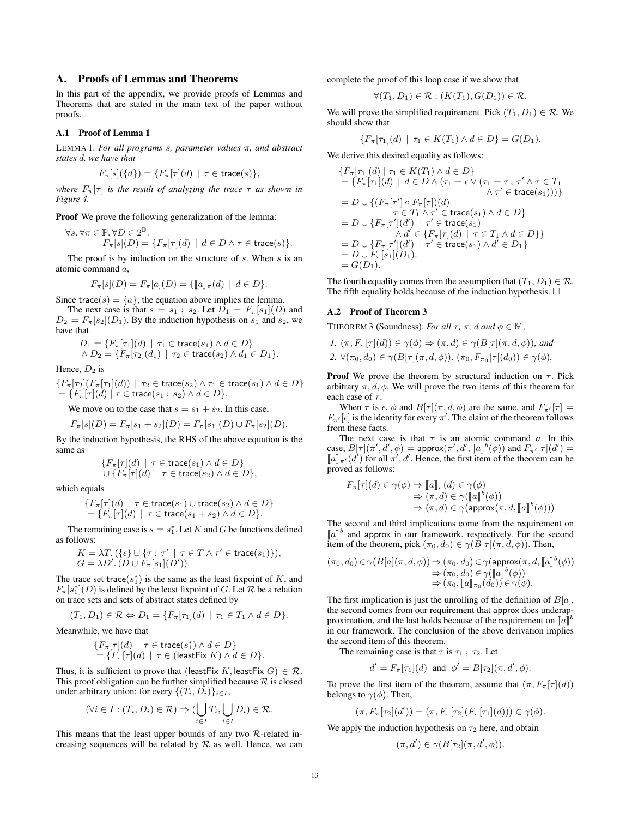# A. Proofs of Lemmas and Theorems

In this part of the appendix, we provide proofs of Lemmas and Theorems that are stated in the main text of the paper without proofs.

## A.1 Proof of Lemma 1

LEMMA 1. *For all programs* s*, parameter values* π*, and abstract states* d*, we have that*

$$
F_{\pi}[s](\{d\}) = \{F_{\pi}[\tau](d) \mid \tau \in \text{trace}(s)\},
$$

*where*  $F_{\pi}[\tau]$  *is the result of analyzing the trace*  $\tau$  *as shown in Figure 4.*

Proof We prove the following generalization of the lemma:

$$
\forall s. \forall \pi \in \mathbb{P}. \forall D \in 2^{\mathbb{D}}.
$$
  

$$
F_{\pi}[s](D) = \{ F_{\pi}[\tau](d) \mid d \in D \land \tau \in \text{trace}(s) \}.
$$

The proof is by induction on the structure of s. When s is an atomic command a,

$$
F_{\pi}[s](D) = F_{\pi}[a](D) = \{ [\![a]\!]_{\pi}(d) \mid d \in D \}.
$$

Since trace(s) =  $\{a\}$ , the equation above implies the lemma.

The next case is that  $s = s_1$ ;  $s_2$ . Let  $D_1 = F_\pi[s_1](D)$  and  $D_2 = F_\pi[s_2](D_1)$ . By the induction hypothesis on  $s_1$  and  $s_2$ , we have that

$$
D_1 = \{ F_{\pi}[\tau_1](d) \mid \tau_1 \in \text{trace}(s_1) \land d \in D \}
$$
  
 
$$
\land D_2 = \{ F_{\pi}[\tau_2](d_1) \mid \tau_2 \in \text{trace}(s_2) \land d_1 \in D_1 \}.
$$

Hence,  $D_2$  is

$$
\{F_{\pi}[\tau_2](F_{\pi}[\tau_1](d)) \mid \tau_2 \in \text{trace}(s_2) \land \tau_1 \in \text{trace}(s_1) \land d \in D\}
$$
  
= 
$$
\{F_{\pi}[\tau](d) \mid \tau \in \text{trace}(s_1 ; s_2) \land d \in D\}.
$$

We move on to the case that  $s = s_1 + s_2$ . In this case,

$$
F_{\pi}[s](D) = F_{\pi}[s_1 + s_2](D) = F_{\pi}[s_1](D) \cup F_{\pi}[s_2](D).
$$

By the induction hypothesis, the RHS of the above equation is the same as

$$
\begin{array}{l}\{F_{\pi}[\tau](d)\ |\ \tau\in\operatorname{trace}(s_1)\wedge d\in D\}\\\cup\; \{F_{\pi}[\tau](d)\ |\ \tau\in\operatorname{trace}(s_2)\wedge d\in D\},\end{array}
$$

which equals

$$
\{F_{\pi}[\tau](d) \mid \tau \in \text{trace}(s_1) \cup \text{trace}(s_2) \land d \in D\}
$$
  
= 
$$
\{F_{\pi}[\tau](d) \mid \tau \in \text{trace}(s_1 + s_2) \land d \in D\}.
$$

The remaining case is  $s = s_1^*$ . Let K and G be functions defined as follows:

$$
K = \lambda T. (\{\epsilon\} \cup \{\tau ; \tau' \mid \tau \in T \land \tau' \in \text{trace}(s_1)\}),
$$
  

$$
G = \lambda D'. (D \cup F_{\pi}[s_1](D')).
$$

The trace set trace( $s_1^*$ ) is the same as the least fixpoint of K, and  $F_{\pi}[s_1^*](D)$  is defined by the least fixpoint of G. Let R be a relation on trace sets and sets of abstract states defined by

$$
(T_1, D_1) \in \mathcal{R} \Leftrightarrow D_1 = \{ F_\pi[\tau_1](d) \mid \tau_1 \in T_1 \land d \in D \}.
$$

Meanwhile, we have that

$$
\{F_{\pi}[\tau](d) \mid \tau \in \text{trace}(s_1^*) \land d \in D\}
$$
  
= 
$$
\{F_{\pi}[\tau](d) \mid \tau \in (\text{leastFix } K) \land d \in D\}.
$$

Thus, it is sufficient to prove that (leastFix K, leastFix  $G \in \mathcal{R}$ . This proof obligation can be further simplified because  $R$  is closed under arbitrary union: for every  $\{(T_i, D_i)\}_{i \in I}$ ,

$$
(\forall i \in I: (T_i, D_i) \in \mathcal{R}) \Rightarrow (\bigcup_{i \in I} T_i, \bigcup_{i \in I} D_i) \in \mathcal{R}.
$$

This means that the least upper bounds of any two  $\mathcal{R}\text{-related in-}$ creasing sequences will be related by  $R$  as well. Hence, we can complete the proof of this loop case if we show that

$$
\forall (T_1, D_1) \in \mathcal{R} : (K(T_1), G(D_1)) \in \mathcal{R}.
$$

We will prove the simplified requirement. Pick  $(T_1, D_1) \in \mathcal{R}$ . We should show that

$$
\{F_{\pi}[\tau_1](d) \mid \tau_1 \in K(T_1) \land d \in D\} = G(D_1).
$$

We derive this desired equality as follows:

$$
\{F_{\pi}[\tau_1](d) | \tau_1 \in K(T_1) \land d \in D\}
$$
\n
$$
= \{F_{\pi}[\tau_1](d) | d \in D \land (\tau_1 = \epsilon \lor (\tau_1 = \tau; \tau' \land \tau \in T_1 \land \tau' \in \text{trace}(s_1)))\}
$$
\n
$$
= D \cup \{ (F_{\pi}[\tau'] \circ F_{\pi}[\tau])(d) | \tau \in \text{trace}(s_1) \land d \in D \}
$$
\n
$$
= D \cup \{F_{\pi}[\tau'](d') | \tau' \in \text{trace}(s_1) \land d \in D\}
$$
\n
$$
= D \cup \{F_{\pi}[\tau'](d') | \tau' \in \text{trace}(s_1) \land d' \in D\}
$$
\n
$$
= D \cup F_{\pi}[\tau'](d') | \tau' \in \text{trace}(s_1) \land d' \in D_1\}
$$
\n
$$
= D \cup F_{\pi}[s_1](D_1).
$$
\n
$$
= G(D_1).
$$

The fourth equality comes from the assumption that  $(T_1, D_1) \in \mathcal{R}$ . The fifth equality holds because of the induction hypothesis.  $\Box$ 

#### A.2 Proof of Theorem 3

**THEOREM 3 (Soundness).** *For all*  $\tau$ ,  $\pi$ , *d* and  $\phi \in M$ ,

1. 
$$
(\pi, F_{\pi}[\tau](d)) \in \gamma(\phi) \Rightarrow (\pi, d) \in \gamma(B[\tau](\pi, d, \phi))
$$
; and  
2.  $\forall (\pi_0, d_0) \in \gamma(B[\tau](\pi, d, \phi))$ .  $(\pi_0, F_{\pi_0}[\tau](d_0)) \in \gamma(\phi)$ .

**Proof** We prove the theorem by structural induction on  $\tau$ . Pick arbitrary  $\pi$ ,  $d$ ,  $\phi$ . We will prove the two items of this theorem for each case of  $\tau$ .

When  $\tau$  is  $\epsilon$ ,  $\phi$  and  $B[\tau](\pi, d, \phi)$  are the same, and  $F_{\pi'}[\tau] =$  $F_{\pi'}[\epsilon]$  is the identity for every  $\pi'$ . The claim of the theorem follows from these facts.

The next case is that  $\tau$  is an atomic command a. In this case,  $B[\tau](\pi', d', \phi) = \text{approx}(\pi', d', [\![a]\!]^b(\phi))$  and  $F_{\pi'}[\tau](d') =$ <br> $[\![a]\!] \cup (d')$  for all  $\pi'$  d'Hence, the first item of the theorem can be  $\llbracket a \rrbracket_{\pi'}(d')$  for all  $\pi', d'$ . Hence, the first item of the theorem can be<br>proved as follows: proved as follows:

$$
F_{\pi}[\tau](d) \in \gamma(\phi) \Rightarrow \llbracket a \rrbracket_{\pi}(d) \in \gamma(\phi)
$$
  

$$
\Rightarrow (\pi, d) \in \gamma(\llbracket a \rrbracket^{b}(\phi))
$$
  

$$
\Rightarrow (\pi, d) \in \gamma(\text{approx}(\pi, d, \llbracket a \rrbracket^{b}(\phi)))
$$

The second and third implications come from the requirement on  $\llbracket a \rrbracket^b$  and approx in our framework, respectively. For the second<br>item of the theorem nick  $(\pi_2, d_2) \in \alpha(R[\pi](\pi, d_2))$ . Then item of the theorem, pick  $(\pi_0, d_0) \in \gamma(B[\tau](\pi, d, \phi))$ . Then,

$$
(\pi_0, d_0) \in \gamma(B[a](\pi, d, \phi)) \Rightarrow (\pi_0, d_0) \in \gamma(\text{approx}(\pi, d, [\![a]\!]^b(\phi))
$$
  
\n
$$
\Rightarrow (\pi_0, d_0) \in \gamma([\![a]\!]^b(\phi))
$$
  
\n
$$
\Rightarrow (\pi_0, [\![a]\!]_{\pi_0}(d_0)) \in \gamma(\phi).
$$

The first implication is just the unrolling of the definition of  $B[a]$ , the second comes from our requirement that approx does underapproximation, and the last holds because of the requirement on  $\llbracket a \rrbracket^b$  in our framework. The conclusion of the above derivation implies in our framework. The conclusion of the above derivation implies the second item of this theorem.

The remaining case is that  $\tau$  is  $\tau_1$ ;  $\tau_2$ . Let

$$
d' = F_{\pi}[\tau_1](d)
$$
 and  $\phi' = B[\tau_2](\pi, d', \phi)$ .

To prove the first item of the theorem, assume that  $(\pi, F_{\pi}[\tau](d))$ belongs to  $\gamma(\phi)$ . Then,

$$
(\pi, F_{\pi}[\tau_2](d')) = (\pi, F_{\pi}[\tau_2](F_{\pi}[\tau_1](d))) \in \gamma(\phi).
$$

We apply the induction hypothesis on  $\tau_2$  here, and obtain

$$
(\pi, d') \in \gamma(B[\tau_2](\pi, d', \phi)).
$$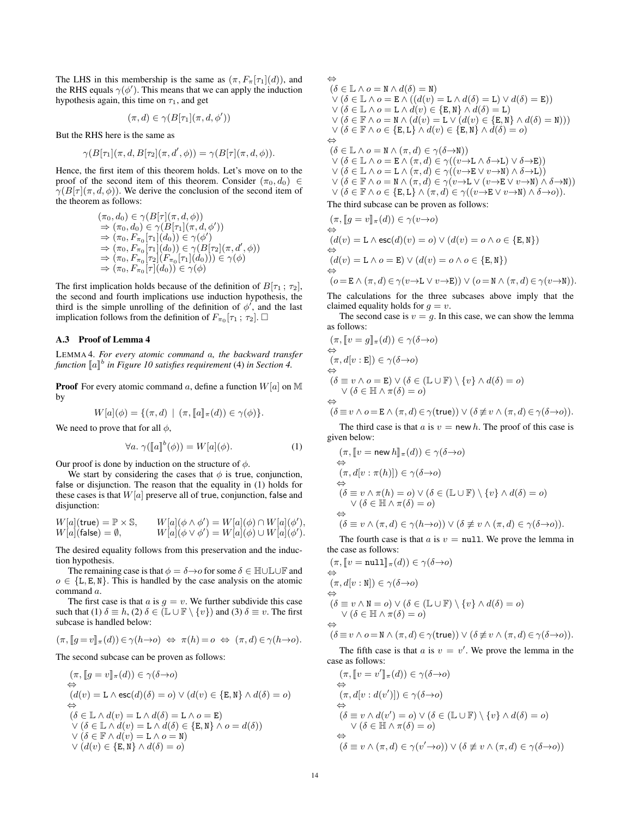The LHS in this membership is the same as  $(\pi, F_{\pi}[\tau_1](d))$ , and the RHS equals  $\gamma(\phi')$ . This means that we can apply the induction hypothesis again, this time on  $\tau_1$ , and get

$$
(\pi, d) \in \gamma(B[\tau_1](\pi, d, \phi'))
$$

But the RHS here is the same as

$$
\gamma(B[\tau_1](\pi, d, B[\tau_2](\pi, d', \phi)) = \gamma(B[\tau](\pi, d, \phi)).
$$

Hence, the first item of this theorem holds. Let's move on to the proof of the second item of this theorem. Consider  $(\pi_0, d_0) \in$  $\gamma(B[\tau](\pi, d, \phi))$ . We derive the conclusion of the second item of the theorem as follows:

$$
(\pi_0, d_0) \in \gamma(B[\tau](\pi, d, \phi))
$$
  
\n
$$
\Rightarrow (\pi_0, d_0) \in \gamma(B[\tau_1](\pi, d, \phi'))
$$
  
\n
$$
\Rightarrow (\pi_0, F_{\pi_0}[\tau_1](d_0)) \in \gamma(\phi')
$$
  
\n
$$
\Rightarrow (\pi_0, F_{\pi_0}[\tau_1](d_0)) \in \gamma(B[\tau_2](\pi, d', \phi))
$$
  
\n
$$
\Rightarrow (\pi_0, F_{\pi_0}[\tau_2](F_{\pi_0}[\tau_1](d_0))) \in \gamma(\phi)
$$
  
\n
$$
\Rightarrow (\pi_0, F_{\pi_0}[\tau](d_0)) \in \gamma(\phi)
$$

The first implication holds because of the definition of  $B[\tau_1; \tau_2]$ , the second and fourth implications use induction hypothesis, the third is the simple unrolling of the definition of  $\phi'$ , and the last implication follows from the definition of  $F_{\pi_0}[\tau_1; \tau_2]$ .

# A.3 Proof of Lemma 4

LEMMA 4. *For every atomic command* a*, the backward transfer* function  $[\![a]\!]^b$  in Figure 10 satisfies requirement (4) in Section 4.

**Proof** For every atomic command a, define a function  $W[a]$  on M by

$$
W[a](\phi) = \{(\pi, d) \mid (\pi, [a]_{\pi}(d)) \in \gamma(\phi)\}.
$$

We need to prove that for all  $\phi$ ,

$$
\forall a. \ \gamma([\![a]\!]^b(\phi)) = W[a](\phi). \tag{1}
$$

Our proof is done by induction on the structure of  $\phi$ .

We start by considering the cases that  $\phi$  is true, conjunction, false or disjunction. The reason that the equality in (1) holds for these cases is that  $W[a]$  preserve all of true, conjunction, false and disjunction:

$$
W[a](\text{true}) = \mathbb{P} \times \mathbb{S}, \qquad W[a](\phi \wedge \phi') = W[a](\phi) \cap W[a](\phi'),
$$
  
 
$$
W[a](\text{false}) = \emptyset, \qquad W[a](\phi \vee \phi') = W[a](\phi) \cup W[a](\phi').
$$

The desired equality follows from this preservation and the induction hypothesis.

The remaining case is that  $\phi = \delta \rightarrow o$  for some  $\delta \in \mathbb{H} \cup \mathbb{L} \cup \mathbb{F}$  and  $o \in \{L, E, N\}$ . This is handled by the case analysis on the atomic command a.

The first case is that  $a$  is  $g = v$ . We further subdivide this case such that (1)  $\delta \equiv h$ , (2)  $\delta \in (\mathbb{L} \cup \mathbb{F} \setminus \{v\})$  and (3)  $\delta \equiv v$ . The first subcase is handled below:

$$
(\pi, [g = v]_{\pi}(d)) \in \gamma(h \to o) \iff \pi(h) = o \iff (\pi, d) \in \gamma(h \to o).
$$

The second subcase can be proven as follows:

$$
(\pi, [g = v]_{\pi}(d)) \in \gamma(\delta \to o)
$$
  
\n
$$
\Leftrightarrow
$$
  
\n
$$
(d(v) = \mathbf{L} \wedge \mathbf{esc}(d)(\delta) = o) \vee (d(v) \in \{\mathbf{E}, \mathbf{N}\} \wedge d(\delta) = o)
$$
  
\n
$$
\Leftrightarrow
$$
  
\n
$$
(\delta \in \mathbb{L} \wedge d(v) = \mathbf{L} \wedge d(\delta) = \mathbf{L} \wedge o = \mathbf{E})
$$
  
\n
$$
\vee (\delta \in \mathbb{L} \wedge d(v) = \mathbf{L} \wedge d(\delta) \in \{\mathbf{E}, \mathbf{N}\} \wedge o = d(\delta))
$$
  
\n
$$
\vee (\delta \in \mathbb{F} \wedge d(v) = \mathbf{L} \wedge o = \mathbf{N})
$$
  
\n
$$
\vee (d(v) \in \{\mathbf{E}, \mathbf{N}\} \wedge d(\delta) = o)
$$

 $(\delta \in \mathbb{L} \wedge o = \mathbb{N} \wedge d(\delta) = \mathbb{N})$  $\vee (\delta \in \mathbb{L} \wedge o = \mathbf{E} \wedge ((d(v) = \mathbf{L} \wedge d(\delta) = \mathbf{L}) \vee d(\delta) = \mathbf{E}))$  $\vee (\delta \in \mathbb{L} \wedge o = \mathbb{L} \wedge d(v) \in \{\mathbb{E}, \mathbb{N}\} \wedge d(\delta) = \mathbb{L})$  $\vee (\delta \in \mathbb{F} \wedge o = \mathbb{N} \wedge (d(v) = \mathbb{L} \vee (d(v) \in \{\mathbb{E}, \mathbb{N}\} \wedge d(\delta) = \mathbb{N})))$  $\vee (\delta \in \mathbb{F} \land o \in \{\texttt{E}, \texttt{L}\} \land d(v) \in \{\texttt{E}, \texttt{N}\} \land d(\delta) = o)$ ⇔  $(\delta \in \mathbb{L} \wedge o = \mathbb{N} \wedge (\pi, d) \in \gamma(\delta \rightarrow \mathbb{N}))$  $\vee (\delta \in \mathbb{L} \wedge o = \mathbf{E} \wedge (\pi, d) \in \gamma((v \rightarrow \mathbf{L} \wedge \delta \rightarrow \mathbf{L}) \vee \delta \rightarrow \mathbf{E}))$  $\vee (\delta \in \mathbb{L} \wedge o = \mathbb{L} \wedge (\pi, d) \in \gamma((v \rightarrow \mathbb{E} \vee v \rightarrow \mathbb{N}) \wedge \delta \rightarrow \mathbb{L}))$  $\vee~(\delta\in\mathbb{F}\wedge o=\mathtt{N}\wedge(\pi,d)\in\gamma(\stackrel{\cdot}{v}\to\mathtt{L}\vee(v\to\mathtt{E}\,\dot{\vee}\,v\to\mathtt{N})\,\dot{\wedge}\,\delta\to\mathtt{N}))$  $\vee (\delta \in \mathbb{F} \land o \in \{\mathbf{E}, \mathbf{L}\} \land (\pi, d) \in \gamma((v \rightarrow \mathbf{E} \lor v \rightarrow \mathbf{N}) \land \delta \rightarrow o)).$ 

The third subcase can be proven as follows:

⇔

$$
(\pi, [g = v]_{\pi}(d)) \in \gamma(v \to o)
$$
  
\n
$$
\Leftrightarrow
$$
  
\n
$$
(d(v) = \mathbf{L} \wedge \mathbf{esc}(d)(v) = o) \vee (d(v) = o \wedge o \in \{\mathbf{E}, \mathbf{N}\})
$$
  
\n
$$
\Leftrightarrow
$$
  
\n
$$
(d(v) = \mathbf{L} \wedge o = \mathbf{E}) \vee (d(v) = o \wedge o \in \{\mathbf{E}, \mathbf{N}\})
$$
  
\n
$$
\Leftrightarrow
$$
  
\n
$$
(o = \mathbf{E} \wedge (\pi, d) \in \gamma(v \to \mathbf{L} \vee v \to \mathbf{E})) \vee (o = \mathbf{N} \wedge (\pi, d) \in \gamma(v \to \mathbf{N})).
$$

The calculations for the three subcases above imply that the claimed equality holds for  $q = v$ .

The second case is  $v = q$ . In this case, we can show the lemma as follows:

$$
(\pi, [v = g]_{\pi}(d)) \in \gamma(\delta \to o)
$$
  
\n
$$
\Leftrightarrow
$$
  
\n
$$
(\pi, d[v : E]) \in \gamma(\delta \to o)
$$
  
\n
$$
\Leftrightarrow
$$
  
\n
$$
(\delta \equiv v \land o = E) \lor (\delta \in (\mathbb{L} \cup \mathbb{F}) \setminus \{v\} \land d(\delta) = o)
$$
  
\n
$$
\Leftrightarrow
$$
  
\n
$$
(\delta \equiv v \land o = \mathbb{E} \land (\pi, d) \in \gamma(\mathsf{true})) \lor (\delta \not\equiv v \land (\pi, d) \in \gamma(\delta \to o)).
$$

The third case is that a is  $v = new h$ . The proof of this case is given below:

$$
(\pi, [v = new h]_{\pi}(d)) \in \gamma(\delta \to o)
$$
  
\n
$$
\Leftrightarrow
$$
  
\n
$$
(\pi, d[v : \pi(h)]) \in \gamma(\delta \to o)
$$
  
\n
$$
\Leftrightarrow
$$
  
\n
$$
(\delta \equiv v \land \pi(h) = o) \lor (\delta \in (\mathbb{L} \cup \mathbb{F}) \setminus \{v\} \land d(\delta) = o)
$$
  
\n
$$
\Leftrightarrow
$$
  
\n
$$
(\delta \equiv v \land (\pi, d) \in \gamma(h \to o)) \lor (\delta \not\equiv v \land (\pi, d) \in \gamma(\delta \to o)).
$$

The fourth case is that  $a$  is  $v = \text{null}$ . We prove the lemma in the case as follows:

$$
(\pi, [v = null]_{\pi}(d)) \in \gamma(\delta \to o)
$$
  
\n
$$
\Leftrightarrow
$$
  
\n
$$
(\pi, d[v : \mathbb{N}]) \in \gamma(\delta \to o)
$$
  
\n
$$
\Leftrightarrow
$$
  
\n
$$
(\delta \equiv v \land \mathbb{N} = o) \lor (\delta \in (\mathbb{L} \cup \mathbb{F}) \setminus \{v\} \land d(\delta) = o)
$$
  
\n
$$
\Leftrightarrow
$$
  
\n
$$
(\delta \in \mathbb{H} \land \pi(\delta) = o)
$$
  
\n
$$
\Leftrightarrow
$$
  
\n
$$
(\delta \equiv v \land o = \mathbb{N} \land (\pi, d) \in \gamma(\mathsf{true})) \lor (\delta \not\equiv v \land (\pi, d) \in \gamma(\delta \to o)).
$$

The fifth case is that a is  $v = v'$ . We prove the lemma in the case as follows:

$$
(\pi, [v = v']_{\pi}(d)) \in \gamma(\delta \to o)
$$
  
\n
$$
\Leftrightarrow
$$
  
\n
$$
(\pi, d[v : d(v')]) \in \gamma(\delta \to o)
$$
  
\n
$$
\Leftrightarrow
$$
  
\n
$$
(\delta \equiv v \land d(v') = o) \lor (\delta \in (\mathbb{L} \cup \mathbb{F}) \setminus \{v\} \land d(\delta) = o)
$$
  
\n
$$
\Leftrightarrow
$$
  
\n
$$
(\delta \equiv v \land (\pi, d) \in \gamma(v' \to o)) \lor (\delta \not\equiv v \land (\pi, d) \in \gamma(\delta \to o))
$$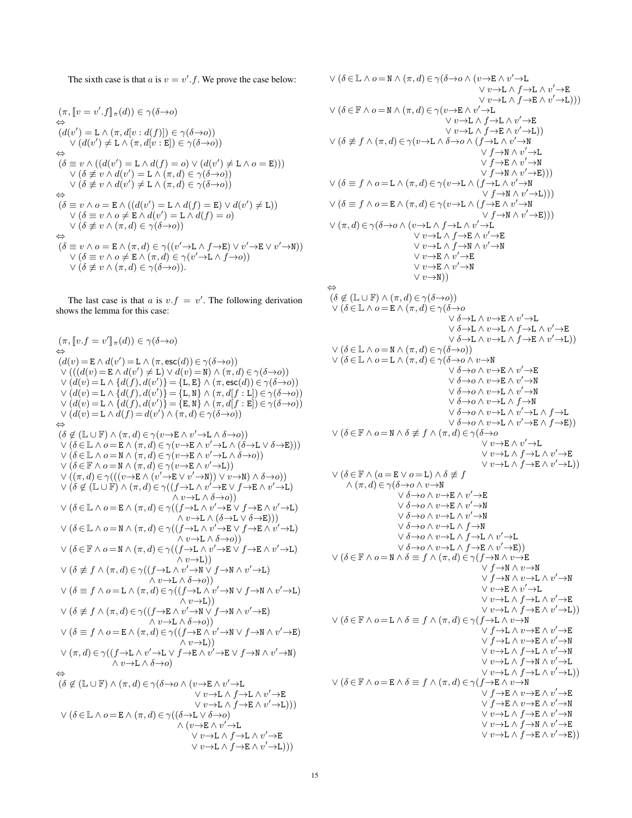The sixth case is that a is  $v = v'.f$ . We prove the case below:

$$
(\pi, [v = v'.f]_{\pi}(d)) \in \gamma(\delta \to o)
$$
  
\n
$$
\Leftrightarrow
$$
  
\n
$$
(d(v') = L \wedge (\pi, d[v : d(f)]) \in \gamma(\delta \to o))
$$
  
\n
$$
\vee (d(v') \neq L \wedge (\pi, d[v : E]) \in \gamma(\delta \to o))
$$
  
\n
$$
\Leftrightarrow
$$
  
\n
$$
(\delta \equiv v \wedge ((d(v') = L \wedge d(f) = o) \vee (d(v') \neq L \wedge o = E)))
$$
  
\n
$$
\vee (\delta \neq v \wedge d(v') = L \wedge (\pi, d) \in \gamma(\delta \to o))
$$
  
\n
$$
\Leftrightarrow
$$
  
\n
$$
(\delta \equiv v \wedge o = E \wedge ((d(v') = L \wedge d(f) = E) \vee d(v') \neq L))
$$
  
\n
$$
\vee (\delta \neq v \wedge o \neq E \wedge d(v') = L \wedge d(f) = o)
$$
  
\n
$$
\vee (\delta \neq v \wedge (\pi, d) \in \gamma(\delta \to o))
$$
  
\n
$$
\Leftrightarrow
$$
  
\n
$$
(\delta \equiv v \wedge o = E \wedge (\pi, d) \in \gamma((v' \to L \wedge f \to E) \vee v' \to E \vee v' \to N))
$$
  
\n
$$
\vee (\delta \neq v \wedge o \neq E \wedge (\pi, d) \in \gamma((v' \to L \wedge f \to o))
$$
  
\n
$$
\vee (\delta \neq v \wedge (\pi, d) \in \gamma(\delta \to o)).
$$

The last case is that a is  $v.f = v'$ . The following derivation shows the lemma for this case:

$$
(\pi, [v.f = v']_{\pi}(d)) \in \gamma(\delta \to o)
$$
\n
$$
(\mathcal{d}(v) = \mathbf{E} \land d(v') = \mathbf{L} \land (\pi, \mathbf{esc}(d)) \in \gamma(\delta \to o))
$$
\n
$$
\lor (((\mathcal{d}(v) = \mathbf{E} \land d(v') \neq \mathbf{L}) \lor d(v) = \mathbf{N}) \land (\pi, d) \in \gamma(\delta \to o))
$$
\n
$$
\lor (d(v) = \mathbf{L} \land \{\mathcal{d}(f), d(v')\} = \{\mathbf{L}, \mathbf{B}\} \land (\pi, \mathbf{dc}(\mathcal{d})) \in \gamma(\delta \to o))
$$
\n
$$
\lor (d(v) = \mathbf{L} \land \{\mathcal{d}(f), d(v')\} = \{\mathbf{L}, \mathbf{N}\} \land (\pi, d(\mathbf{f} : \mathbf{L}) \in \gamma(\delta \to o))
$$
\n
$$
\lor (d(v) = \mathbf{L} \land d(f), d(v')) = \{\mathbf{L}, \mathbf{N}\} \land (\pi, d(\mathbf{f} : \mathbf{E}) \in \gamma(\delta \to o))
$$
\n
$$
\lor (d(v) = \mathbf{L} \land d(f) = d(v') \land (\pi, d) \in \gamma(\delta \to o))
$$
\n
$$
\lor (\delta \in \mathbb{L} \land o = \mathbf{R} \land (\pi, d) \in \gamma(v \to \mathbf{E} \land v' \to \mathbf{L} \land \delta \to o))
$$
\n
$$
\lor (\delta \in \mathbb{L} \land o = \mathbf{N} \land (\pi, d) \in \gamma(v \to \mathbf{E} \land v' \to \mathbf{L} \land \delta \to o))
$$
\n
$$
\lor (\delta \in \mathbb{L} \land o = \mathbf{N} \land (\pi, d) \in \gamma(v \to \mathbf{E} \land v' \to \mathbf{L} \land \delta \to o))
$$
\n
$$
\lor (\delta \in \mathbb{R} \land o = \mathbf{N} \land (\pi, d) \in \gamma(v \to \mathbf{E} \land v' \to \mathbf{L})
$$
\n
$$
\lor (v \to \mathbf{L} \land \delta \to o))
$$
\n
$$
\lor (\delta \in \
$$

$$
\vee (\delta \in \mathbb{L} \wedge o = \mathbb{N} \wedge (\pi, d) \in \gamma(\delta \to o \wedge (v \to \mathbb{R} \wedge v' \to \mathbb{L} \wedge v' \to \mathbb{L} \wedge v' \to \mathbb{L} \wedge v' \to \mathbb{L} \wedge v' \to \mathbb{L} \wedge v' \to \mathbb{L} \wedge v' \to \mathbb{L} \wedge v' \to \mathbb{L} \wedge v' \to \mathbb{L} \wedge v' \to \mathbb{L} \wedge v' \to \mathbb{L} \wedge v' \to \mathbb{L} \wedge v' \to \mathbb{L} \wedge v' \to \mathbb{L} \wedge v' \to \mathbb{L} \wedge v' \to \mathbb{L} \wedge v' \to \mathbb{L} \wedge v' \to \mathbb{L} \wedge v' \to \mathbb{L} \wedge v' \to \mathbb{L} \wedge v' \to \mathbb{L} \wedge v' \to \mathbb{L} \wedge v' \to \mathbb{L} \wedge v' \to \mathbb{L} \wedge v' \to \mathbb{L} \wedge v' \to \mathbb{L} \wedge v' \to \mathbb{L} \wedge v' \to \mathbb{L} \wedge v' \to \mathbb{L} \wedge v' \to \mathbb{L} \wedge v' \to \mathbb{L} \wedge v' \to \mathbb{L} \wedge v' \to \mathbb{L} \wedge v' \to \mathbb{L} \wedge v' \to \mathbb{L} \wedge (f \to \mathbb{L} \wedge v' \to \mathbb{L} \wedge v' \to \mathbb{L} \wedge v' \to \mathbb{L} \wedge v' \to \mathbb{L} \wedge v' \to \mathbb{L} \wedge v' \to \mathbb{L} \wedge v' \to \mathbb{L} \wedge v' \to \mathbb{L} \wedge v' \to \mathbb{L} \wedge v' \to \mathbb{L} \wedge v' \to \mathbb{L} \wedge v' \to \mathbb{L} \wedge v' \to \mathbb{L} \wedge v' \to \mathbb{L} \wedge v' \to \mathbb{L} \wedge v' \to \mathbb{L} \wedge v' \to \mathbb{L} \wedge v' \to \mathbb{L} \wedge v
$$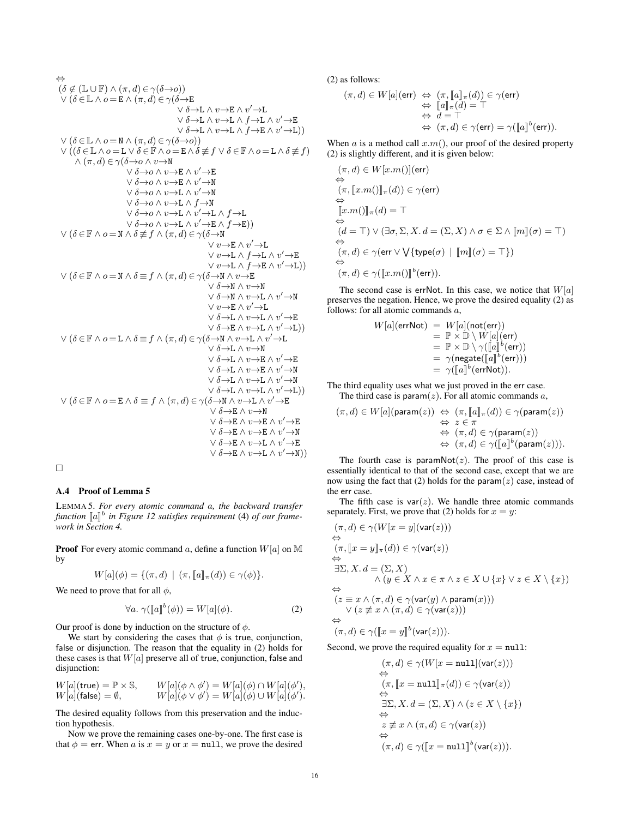$$
\begin{array}{ll}\n\leftrightarrow \\
(\delta \notin (\mathbb{L} \cup \mathbb{F}) \wedge (\pi, d) \in \gamma(\delta \to o)) \\
\vee (\delta \in \mathbb{L} \wedge o = \mathbb{E} \wedge (\pi, d) \in \gamma(\delta \to \mathbb{E} \\
& \vee \delta \to \mathbb{L} \wedge v \to \mathbb{L} \wedge v' \to \mathbb{L} \\
& \vee \delta \to \mathbb{L} \wedge v \to \mathbb{L} \wedge v' \to \mathbb{L} \\
& \vee \delta \to \mathbb{L} \wedge v \to \mathbb{L} \wedge v' \to \mathbb{L} \\
& \vee (\delta \to \mathbb{L} \wedge o = \mathbb{L} \wedge \delta \in \mathbb{F} \wedge o = \mathbb{L} \wedge \delta \neq f) \\
\wedge (\pi, d) \in \gamma(\delta \to o \wedge v \to \mathbb{N} \\
& \vee \delta \to o \wedge v \to \mathbb{L} \wedge v' \to \mathbb{E} \\
& \vee \delta \to o \wedge v \to \mathbb{L} \wedge v' \to \mathbb{R} \\
& \vee \delta \to o \wedge v \to \mathbb{L} \wedge v' \to \mathbb{N} \\
& \vee \delta \to o \wedge v \to \mathbb{L} \wedge v' \to \mathbb{N} \\
& \vee \delta \to o \wedge v \to \mathbb{L} \wedge v' \to \mathbb{N} \\
& \vee \delta \to o \wedge v \to \mathbb{L} \wedge v' \to \mathbb{L} \\
& \vee \delta \to o \wedge v \to \mathbb{L} \wedge v' \to \mathbb{L} \\
& \vee \delta \to o \wedge v \to \mathbb{L} \wedge v' \to \mathbb{L} \\
& \vee v \to \mathbb{L} \wedge v' \to \mathbb{L} \\
& \vee v \to \mathbb{L} \wedge v' \to \mathbb{L} \\
& \vee v \to \mathbb{L} \wedge v' \to \mathbb{L} \\
& \vee v \to \mathbb{L} \wedge v' \to \mathbb{L} \\
& \vee \delta \to \mathbb{N} \wedge v \to \mathbb{L} \\
& \vee \delta \to \mathbb{N} \wedge v \to \mathbb{L} \\
& \vee \delta \to \mathbb{N
$$

#### $\Box$

## A.4 Proof of Lemma 5

LEMMA 5. *For every atomic command* a*, the backward transfer* function  $\llbracket a \rrbracket^b$  in Figure 12 satisfies requirement (4) of our frame-<br>work in Section 4 *work in Section 4.*

**Proof** For every atomic command a, define a function  $W[a]$  on M by

$$
W[a](\phi) = \{(\pi, d) \mid (\pi, [a]_{\pi}(d)) \in \gamma(\phi)\}.
$$

We need to prove that for all  $\phi$ ,

$$
\forall a. \ \gamma([\![a]\!]^b(\phi)) = W[a](\phi). \tag{2}
$$

Our proof is done by induction on the structure of  $\phi$ .

We start by considering the cases that  $\phi$  is true, conjunction, false or disjunction. The reason that the equality in (2) holds for these cases is that  $W[a]$  preserve all of true, conjunction, false and disjunction:

$$
W[a](\text{true}) = \mathbb{P} \times \mathbb{S}, \qquad W[a](\phi \wedge \phi') = W[a](\phi) \cap W[a](\phi'),
$$
  
 
$$
W[a](\text{false}) = \emptyset, \qquad W[a](\phi \vee \phi') = W[a](\phi) \cup W[a](\phi').
$$

The desired equality follows from this preservation and the induction hypothesis.

Now we prove the remaining cases one-by-one. The first case is that  $\phi =$  err. When a is  $x = y$  or  $x =$  null, we prove the desired (2) as follows:

$$
(\pi, d) \in W[a](\text{err}) \Leftrightarrow (\pi, [\![a]\!]_{\pi}(d)) \in \gamma(\text{err})
$$

$$
\Leftrightarrow [\![a]\!]_{\pi}(d) = \top
$$

$$
\Leftrightarrow d = \top
$$

$$
\Leftrightarrow (\pi, d) \in \gamma(\text{err}) = \gamma([\![a]\!]^{b}(\text{err})).
$$

When a is a method call  $x.m()$ , our proof of the desired property (2) is slightly different, and it is given below:

$$
(\pi, d) \in W[x.m()](\text{err})
$$
  
\n
$$
\Leftrightarrow
$$
  
\n
$$
(\pi, [x.m()]]_{\pi}(d)) \in \gamma(\text{err})
$$
  
\n
$$
\Leftrightarrow
$$
  
\n
$$
[[x.m()]]_{\pi}(d) = \top
$$
  
\n
$$
\Leftrightarrow
$$
  
\n
$$
(d = \top) \vee (\exists \sigma, \Sigma, X. d = (\Sigma, X) \wedge \sigma \in \Sigma \wedge [[m]](\sigma) = \top)
$$
  
\n
$$
\Leftrightarrow
$$
  
\n
$$
(\pi, d) \in \gamma([\text{err} \vee \bigvee \{\text{type}(\sigma) \mid [[m]](\sigma) = \top\})
$$
  
\n
$$
\Leftrightarrow
$$
  
\n
$$
(\pi, d) \in \gamma([[x.m()]]^{b}(\text{err})).
$$

The second case is errNot. In this case, we notice that  $W[a]$ preserves the negation. Hence, we prove the desired equality (2) as follows: for all atomic commands  $a$ ,

$$
W[a](\text{errNot}) = W[a](\text{not}(\text{err}))
$$
  
=  $\mathbb{P} \times \mathbb{D} \setminus W[a](\text{err})$   
=  $\mathbb{P} \times \mathbb{D} \setminus \gamma([\![a]\!]^b(\text{err}))$   
=  $\gamma(\text{negative}([\![a]\!]^b(\text{err})))$   
=  $\gamma([\![a]\!]^b(\text{errNot}))$ .

The third equality uses what we just proved in the err case.

The third case is  $param(z)$ . For all atomic commands a,

$$
\begin{array}{rcl} (\pi,d)\in W[a](\mathsf{param}(z)) & \Leftrightarrow & (\pi, [\![a]\!]_\pi(d))\in \gamma(\mathsf{param}(z)) \\ & \Leftrightarrow & z\in \pi \\ & \Leftrightarrow & (\pi,d)\in \gamma(\mathsf{param}(z)) \\ & \Leftrightarrow & (\pi,d)\in \gamma([\![a]\!]^b(\mathsf{param}(z))). \end{array}
$$

The fourth case is paramNot( $z$ ). The proof of this case is essentially identical to that of the second case, except that we are now using the fact that (2) holds for the param $(z)$  case, instead of the err case.

The fifth case is  $var(z)$ . We handle three atomic commands separately. First, we prove that (2) holds for  $x = y$ :

$$
(\pi, d) \in \gamma(W[x = y](\text{var}(z)))
$$
  
\n
$$
\Leftrightarrow
$$
  
\n
$$
(\pi, [\![x = y]\!]_\pi(d)) \in \gamma(\text{var}(z))
$$
  
\n
$$
\Leftrightarrow
$$
  
\n
$$
\exists \Sigma, X. d = (\Sigma, X)
$$
  
\n
$$
\wedge (y \in X \land x \in \pi \land z \in X \cup \{x\} \lor z \in X \setminus \{x\})
$$
  
\n
$$
\Leftrightarrow
$$
  
\n
$$
(z \equiv x \land (\pi, d) \in \gamma(\text{var}(y) \land \text{param}(x)))
$$
  
\n
$$
\vee (z \not\equiv x \land (\pi, d) \in \gamma(\text{var}(z)))
$$
  
\n
$$
(\pi, d) \in \gamma([\![x = y]\!]^b(\text{var}(z))).
$$

Second, we prove the required equality for  $x = \text{null}$ :

$$
(\pi, d) \in \gamma(W[x = \text{null}](\text{var}(z)))
$$
  
\n
$$
\Leftrightarrow
$$
  
\n
$$
(\pi, [x = \text{null}]_{\pi}(d)) \in \gamma(\text{var}(z))
$$
  
\n
$$
\Leftrightarrow
$$
  
\n
$$
\exists \Sigma, X. d = (\Sigma, X) \land (z \in X \setminus \{x\})
$$
  
\n
$$
\Leftrightarrow
$$
  
\n
$$
z \not\equiv x \land (\pi, d) \in \gamma(\text{var}(z))
$$
  
\n
$$
(\pi, d) \in \gamma([x = \text{null}]^{b}(\text{var}(z))).
$$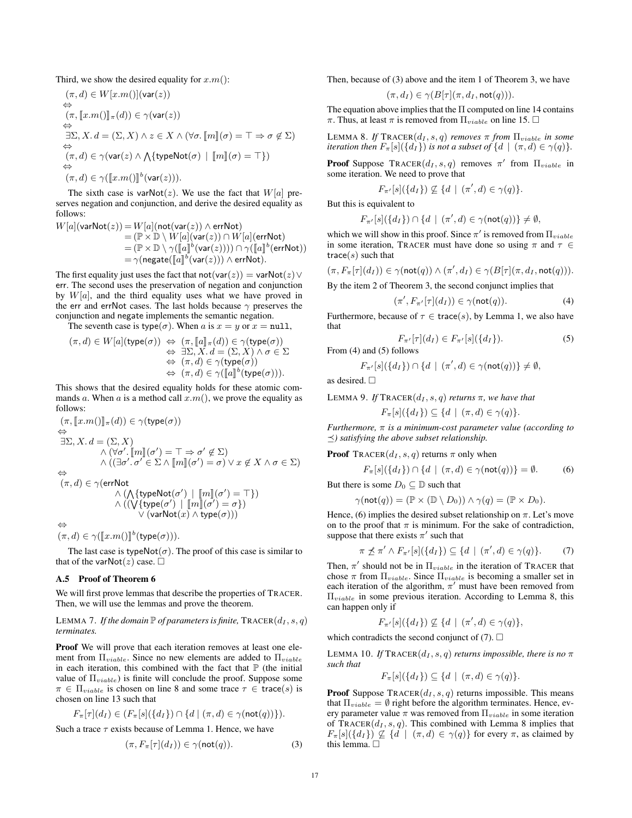Third, we show the desired equality for  $x.m()$ :

$$
(\pi, d) \in W[x.m()](\text{var}(z))
$$
  
\n
$$
\Leftrightarrow
$$
  
\n
$$
(\pi, [x.m()]]_{\pi}(d)) \in \gamma(\text{var}(z))
$$
  
\n
$$
\Leftrightarrow
$$
  
\n
$$
\exists \Sigma, X. d = (\Sigma, X) \land z \in X \land (\forall \sigma. [m] (\sigma) = \top \Rightarrow \sigma \notin \Sigma)
$$
  
\n
$$
\Leftrightarrow
$$
  
\n
$$
(\pi, d) \in \gamma(\text{var}(z) \land \text{ArgPNot}(\sigma) \mid [m] (\sigma) = \top \})
$$
  
\n
$$
\Leftrightarrow
$$
  
\n
$$
(\pi, d) \in \gamma([x.m()]^b(\text{var}(z))).
$$

The sixth case is varNot(z). We use the fact that  $W[a]$  preserves negation and conjunction, and derive the desired equality as follows:

$$
W[a](\text{varNot}(z)) = W[a](\text{not}(\text{var}(z)) \wedge \text{errNot})
$$
  
=  $(\mathbb{P} \times \mathbb{D} \setminus W[a](\text{var}(z)) \cap W[a](\text{errNot})$   
=  $(\mathbb{P} \times \mathbb{D} \setminus \gamma([\![a]\!]^b(\text{var}(z)))) \cap \gamma([\![a]\!]^b(\text{errNot}))$   
=  $\gamma(\text{negative}([\![a]\!]^b(\text{var}(z))) \wedge \text{errNot}).$ 

The first equality just uses the fact that not(var(z)) = varNot(z)  $\vee$ err. The second uses the preservation of negation and conjunction by  $W[a]$ , and the third equality uses what we have proved in the err and errNot cases. The last holds because  $\gamma$  preserves the conjunction and negate implements the semantic negation.

The seventh case is type( $\sigma$ ). When a is  $x = y$  or  $x = \text{null}$ ,

$$
(\pi, d) \in W[a](\mathsf{type}(\sigma)) \Leftrightarrow (\pi, [\![a]\!]_{\pi}(d)) \in \gamma(\mathsf{type}(\sigma))
$$
  

$$
\Leftrightarrow \exists \Sigma, X. d = (\Sigma, X) \land \sigma \in \Sigma
$$
  

$$
\Leftrightarrow (\pi, d) \in \gamma(\mathsf{type}(\sigma))
$$
  

$$
\Leftrightarrow (\pi, d) \in \gamma([\![a]\!]^{b}(\mathsf{type}(\sigma))).
$$

This shows that the desired equality holds for these atomic commands a. When a is a method call  $x.m()$ , we prove the equality as follows:

$$
(\pi, [x.m()]\pi(d)) \in \gamma(\text{type}(\sigma))
$$
  
\n
$$
\Rightarrow
$$
  
\n
$$
\exists \Sigma, X. d = (\Sigma, X)
$$
  
\n
$$
\wedge (\forall \sigma'. [m][\sigma') = \top \Rightarrow \sigma' \notin \Sigma)
$$
  
\n
$$
\wedge ((\exists \sigma'. \sigma' \in \Sigma \wedge [m][\sigma') = \sigma) \vee x \notin X \wedge \sigma \in \Sigma)
$$

 $(\pi, d) \in \gamma$ (errNot

$$
\wedge (\bigwedge \{ \text{typeNot}(\sigma') \mid [\![m]\!](\sigma') = \top \}) \\ \wedge ((\bigvee \{ \text{type}(\sigma') \mid [\![m]\!](\sigma') = \sigma \}) \\ \vee (\text{varNot}(x) \wedge \text{type}(\sigma)))
$$

⇔

 $(\pi, d) \in \gamma([\![x.m()]\!]^b(\mathsf{type}(\sigma))).$ 

The last case is type $Not(\sigma)$ . The proof of this case is similar to that of the varNot(z) case.  $\Box$ 

# A.5 Proof of Theorem 6

We will first prove lemmas that describe the properties of TRACER. Then, we will use the lemmas and prove the theorem.

## LEMMA 7. If the domain  $\mathbb P$  of parameters is finite,  $\text{Tr}\,\text{ACER}(d_I, s, q)$ *terminates.*

Proof We will prove that each iteration removes at least one element from  $\Pi_{viable}$ . Since no new elements are added to  $\Pi_{viable}$ in each iteration, this combined with the fact that  $\mathbb P$  (the initial value of  $\Pi_{viable}$ ) is finite will conclude the proof. Suppose some  $\pi \in \Pi_{viable}$  is chosen on line 8 and some trace  $\tau \in \text{trace}(s)$  is chosen on line 13 such that

$$
F_{\pi}[\tau](d_I) \in (F_{\pi}[s](\{d_I\}) \cap \{d \mid (\pi, d) \in \gamma(\text{not}(q))\}).
$$

Such a trace  $\tau$  exists because of Lemma 1. Hence, we have

$$
(\pi, F_{\pi}[\tau](d_I)) \in \gamma(\text{not}(q)). \tag{3}
$$

Then, because of (3) above and the item 1 of Theorem 3, we have

$$
(\pi, d_I) \in \gamma(B[\tau](\pi, d_I, \text{not}(q))).
$$

The equation above implies that the  $\Pi$  computed on line 14 contains π. Thus, at least π is removed from  $\Pi_{viable}$  on line 15.  $\Box$ 

LEMMA 8. If  $\text{TRACER}(d_I, s, q)$  *removes*  $\pi$  *from*  $\Pi_{viable}$  *in some iteration then*  $F_{\pi}[s](\{d_I\})$  *is not a subset of*  $\{d \mid (\pi, d) \in \gamma(q)\}.$ 

**Proof** Suppose  $\text{TRACER}(d_I, s, q)$  removes  $\pi'$  from  $\Pi_{viable}$  in some iteration. We need to prove that

$$
F_{\pi'}[s](\{d_I\}) \nsubseteq \{d \mid (\pi',d) \in \gamma(q)\}.
$$

But this is equivalent to

$$
F_{\pi'}[s](\{d_I\}) \cap \{d\ |\ (\pi',d) \in \gamma(\mathsf{not}(q))\} \neq \emptyset,
$$

which we will show in this proof. Since  $\pi'$  is removed from  $\Pi_{viable}$ in some iteration, TRACER must have done so using  $\pi$  and  $\tau \in$ trace( $s$ ) such that

$$
(\pi, F_{\pi}[\tau](d_I)) \in \gamma(\mathsf{not}(q)) \land (\pi', d_I) \in \gamma(B[\tau](\pi, d_I, \mathsf{not}(q))).
$$

By the item 2 of Theorem 3, the second conjunct implies that

$$
(\pi', F_{\pi'}[\tau](d_I)) \in \gamma(\text{not}(q)).\tag{4}
$$

Furthermore, because of  $\tau \in \text{trace}(s)$ , by Lemma 1, we also have that

$$
F_{\pi'}[\tau](d_I) \in F_{\pi'}[s](\{d_I\}).
$$
 (5)

From (4) and (5) follows

$$
F_{\pi'}[s](\{d_I\}) \cap \{d \mid (\pi',d) \in \gamma(\text{not}(q))\} \neq \emptyset,
$$

as desired.

LEMMA 9. If  $\text{TRACER}(d_I, s, q)$  *returns*  $\pi$ *, we have that* 

 $F_{\pi}[s](\{d_I\}) \subseteq \{d \mid (\pi, d) \in \gamma(q)\}.$ 

*Furthermore,* π *is a minimum-cost parameter value (according to*  $\preceq$ ) satisfying the above subset relationship.

#### **Proof** TRACER $(d_I, s, q)$  returns  $\pi$  only when

$$
F_{\pi}[s](\{d_I\}) \cap \{d \mid (\pi, d) \in \gamma(\text{not}(q))\} = \emptyset. \tag{6}
$$

But there is some  $D_0 \subseteq \mathbb{D}$  such that

$$
\gamma(\text{not}(q)) = (\mathbb{P} \times (\mathbb{D} \setminus D_0)) \wedge \gamma(q) = (\mathbb{P} \times D_0).
$$

Hence, (6) implies the desired subset relationship on  $\pi$ . Let's move on to the proof that  $\pi$  is minimum. For the sake of contradiction, suppose that there exists  $\pi'$  such that

$$
\pi \npreceq \pi' \wedge F_{\pi'}[s](\{d_I\}) \subseteq \{d \mid (\pi', d) \in \gamma(q)\}.
$$
 (7)

Then,  $\pi'$  should not be in  $\Pi_{viable}$  in the iteration of TRACER that chose  $\pi$  from  $\Pi_{viable}$ . Since  $\Pi_{viable}$  is becoming a smaller set in each iteration of the algorithm,  $\pi'$  must have been removed from  $\Pi_{viable}$  in some previous iteration. According to Lemma 8, this can happen only if

$$
F_{\pi'}[s](\{d_I\}) \nsubseteq \{d \mid (\pi',d) \in \gamma(q)\},\
$$

which contradicts the second conjunct of (7).  $\Box$ 

LEMMA 10. *If*  $\text{TRACER}(d_I, s, q)$  *returns impossible, there is no*  $\pi$ *such that*

$$
F_{\pi}[s](\{d_I\}) \subseteq \{d \mid (\pi, d) \in \gamma(q)\}.
$$

**Proof** Suppose  $\text{Tr}\,\text{ACER}(d_I, s, q)$  returns impossible. This means that  $\Pi_{viable} = \emptyset$  right before the algorithm terminates. Hence, every parameter value  $\pi$  was removed from  $\Pi_{viable}$  in some iteration of  $TRACER(d<sub>I</sub>, s, q)$ . This combined with Lemma 8 implies that  $F_{\pi}[s](\{d_I\}) \nsubseteq \{d \mid (\pi, d) \in \gamma(q)\}\$ for every  $\pi$ , as claimed by this lemma.  $\square$